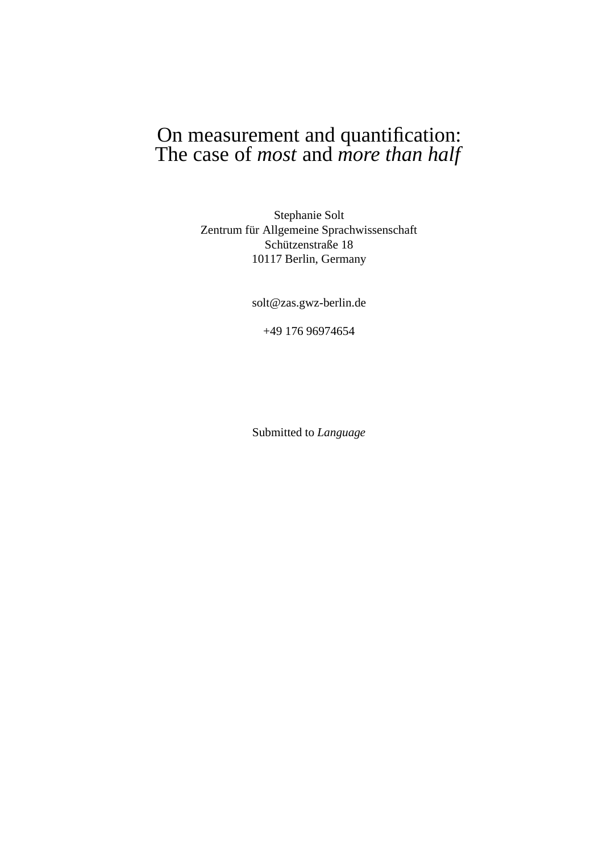# On measurement and quantification: The case of *most* and *more than half*

Stephanie Solt Zentrum für Allgemeine Sprachwissenschaft Schützenstraße 18 10117 Berlin, Germany

solt@zas.gwz-berlin.de

+49 176 96974654

Submitted to *Language*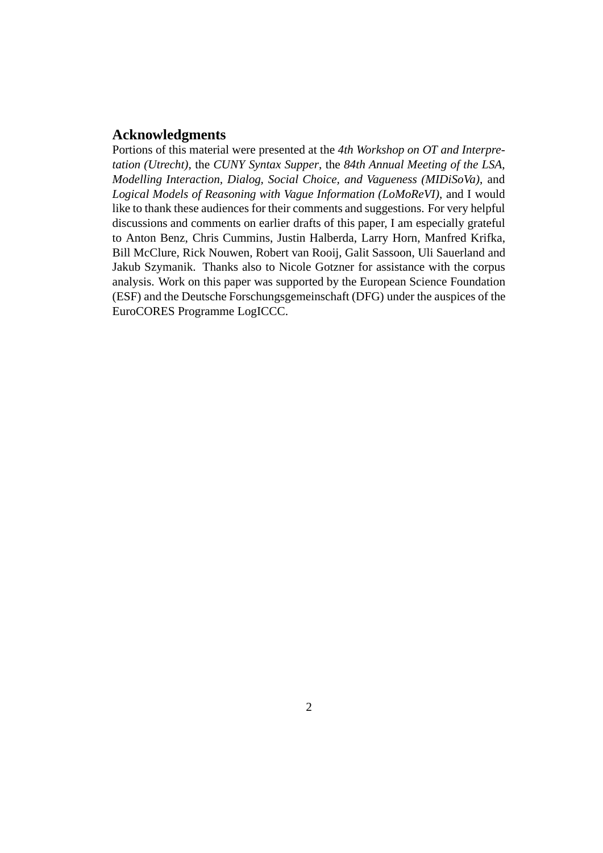#### **Acknowledgments**

Portions of this material were presented at the *4th Workshop on OT and Interpretation (Utrecht)*, the *CUNY Syntax Supper*, the *84th Annual Meeting of the LSA*, *Modelling Interaction, Dialog, Social Choice, and Vagueness (MIDiSoVa)*, and *Logical Models of Reasoning with Vague Information (LoMoReVI)*, and I would like to thank these audiences for their comments and suggestions. For very helpful discussions and comments on earlier drafts of this paper, I am especially grateful to Anton Benz, Chris Cummins, Justin Halberda, Larry Horn, Manfred Krifka, Bill McClure, Rick Nouwen, Robert van Rooij, Galit Sassoon, Uli Sauerland and Jakub Szymanik. Thanks also to Nicole Gotzner for assistance with the corpus analysis. Work on this paper was supported by the European Science Foundation (ESF) and the Deutsche Forschungsgemeinschaft (DFG) under the auspices of the EuroCORES Programme LogICCC.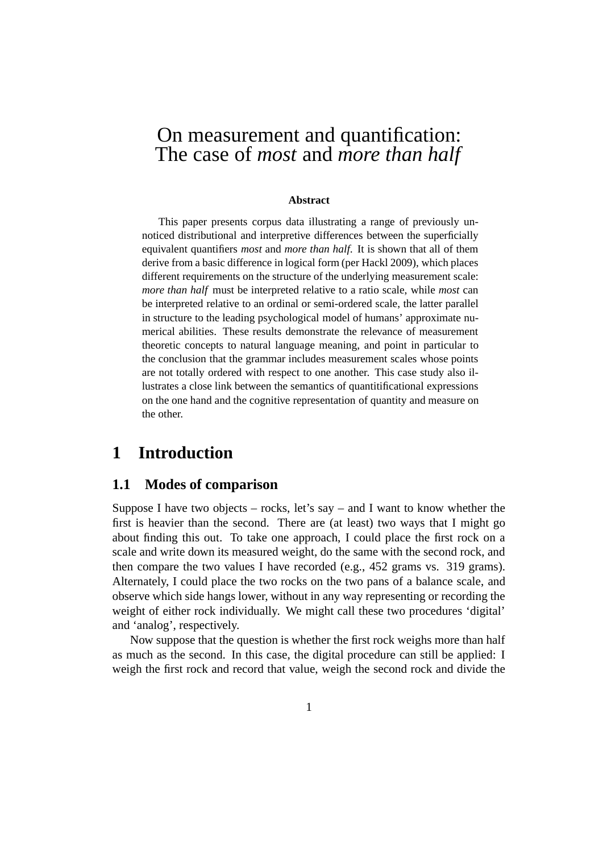# On measurement and quantification: The case of *most* and *more than half*

#### **Abstract**

This paper presents corpus data illustrating a range of previously unnoticed distributional and interpretive differences between the superficially equivalent quantifiers *most* and *more than half*. It is shown that all of them derive from a basic difference in logical form (per Hackl 2009), which places different requirements on the structure of the underlying measurement scale: *more than half* must be interpreted relative to a ratio scale, while *most* can be interpreted relative to an ordinal or semi-ordered scale, the latter parallel in structure to the leading psychological model of humans' approximate numerical abilities. These results demonstrate the relevance of measurement theoretic concepts to natural language meaning, and point in particular to the conclusion that the grammar includes measurement scales whose points are not totally ordered with respect to one another. This case study also illustrates a close link between the semantics of quantitificational expressions on the one hand and the cognitive representation of quantity and measure on the other.

# **1 Introduction**

#### **1.1 Modes of comparison**

Suppose I have two objects – rocks, let's say – and I want to know whether the first is heavier than the second. There are (at least) two ways that I might go about finding this out. To take one approach, I could place the first rock on a scale and write down its measured weight, do the same with the second rock, and then compare the two values I have recorded (e.g., 452 grams vs. 319 grams). Alternately, I could place the two rocks on the two pans of a balance scale, and observe which side hangs lower, without in any way representing or recording the weight of either rock individually. We might call these two procedures 'digital' and 'analog', respectively.

Now suppose that the question is whether the first rock weighs more than half as much as the second. In this case, the digital procedure can still be applied: I weigh the first rock and record that value, weigh the second rock and divide the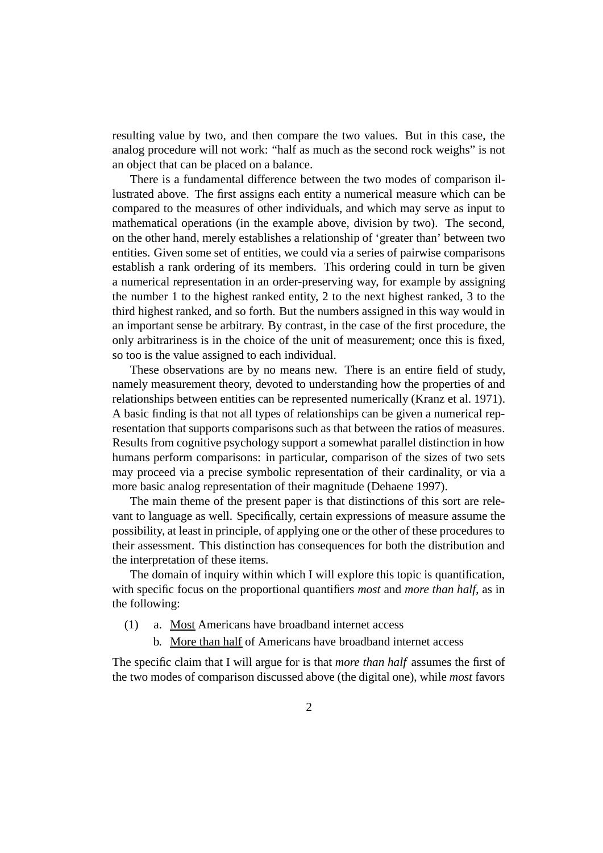resulting value by two, and then compare the two values. But in this case, the analog procedure will not work: "half as much as the second rock weighs" is not an object that can be placed on a balance.

There is a fundamental difference between the two modes of comparison illustrated above. The first assigns each entity a numerical measure which can be compared to the measures of other individuals, and which may serve as input to mathematical operations (in the example above, division by two). The second, on the other hand, merely establishes a relationship of 'greater than' between two entities. Given some set of entities, we could via a series of pairwise comparisons establish a rank ordering of its members. This ordering could in turn be given a numerical representation in an order-preserving way, for example by assigning the number 1 to the highest ranked entity, 2 to the next highest ranked, 3 to the third highest ranked, and so forth. But the numbers assigned in this way would in an important sense be arbitrary. By contrast, in the case of the first procedure, the only arbitrariness is in the choice of the unit of measurement; once this is fixed, so too is the value assigned to each individual.

These observations are by no means new. There is an entire field of study, namely measurement theory, devoted to understanding how the properties of and relationships between entities can be represented numerically (Kranz et al. 1971). A basic finding is that not all types of relationships can be given a numerical representation that supports comparisons such as that between the ratios of measures. Results from cognitive psychology support a somewhat parallel distinction in how humans perform comparisons: in particular, comparison of the sizes of two sets may proceed via a precise symbolic representation of their cardinality, or via a more basic analog representation of their magnitude (Dehaene 1997).

The main theme of the present paper is that distinctions of this sort are relevant to language as well. Specifically, certain expressions of measure assume the possibility, at least in principle, of applying one or the other of these procedures to their assessment. This distinction has consequences for both the distribution and the interpretation of these items.

The domain of inquiry within which I will explore this topic is quantification, with specific focus on the proportional quantifiers *most* and *more than half*, as in the following:

- (1) a. Most Americans have broadband internet access
	- b. More than half of Americans have broadband internet access

The specific claim that I will argue for is that *more than half* assumes the first of the two modes of comparison discussed above (the digital one), while *most* favors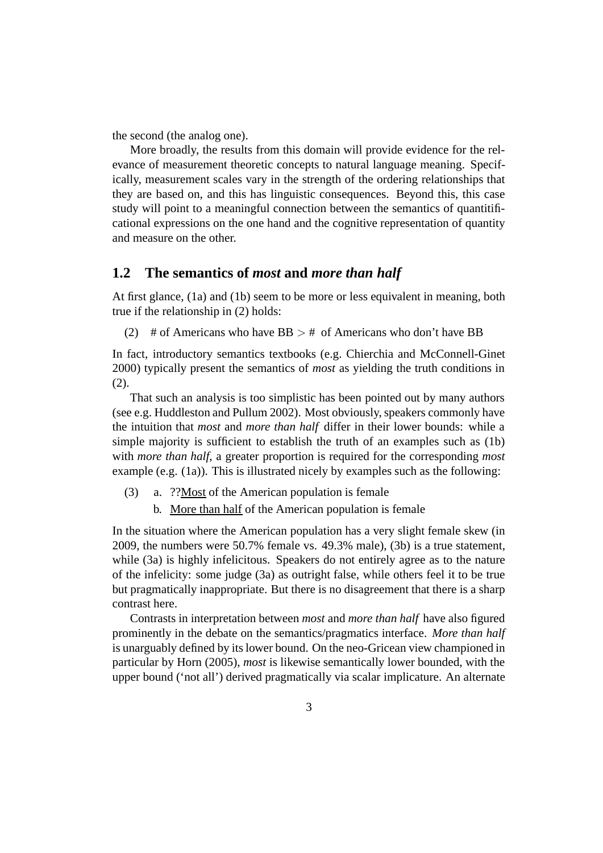the second (the analog one).

More broadly, the results from this domain will provide evidence for the relevance of measurement theoretic concepts to natural language meaning. Specifically, measurement scales vary in the strength of the ordering relationships that they are based on, and this has linguistic consequences. Beyond this, this case study will point to a meaningful connection between the semantics of quantitificational expressions on the one hand and the cognitive representation of quantity and measure on the other.

### **1.2 The semantics of** *most* **and** *more than half*

At first glance, (1a) and (1b) seem to be more or less equivalent in meaning, both true if the relationship in (2) holds:

(2) # of Americans who have  $BB > #$  of Americans who don't have BB

In fact, introductory semantics textbooks (e.g. Chierchia and McConnell-Ginet 2000) typically present the semantics of *most* as yielding the truth conditions in (2).

That such an analysis is too simplistic has been pointed out by many authors (see e.g. Huddleston and Pullum 2002). Most obviously, speakers commonly have the intuition that *most* and *more than half* differ in their lower bounds: while a simple majority is sufficient to establish the truth of an examples such as (1b) with *more than half*, a greater proportion is required for the corresponding *most* example (e.g. (1a)). This is illustrated nicely by examples such as the following:

- (3) a.  $??$ Most of the American population is female
	- b. More than half of the American population is female

In the situation where the American population has a very slight female skew (in 2009, the numbers were 50.7% female vs. 49.3% male), (3b) is a true statement, while (3a) is highly infelicitous. Speakers do not entirely agree as to the nature of the infelicity: some judge (3a) as outright false, while others feel it to be true but pragmatically inappropriate. But there is no disagreement that there is a sharp contrast here.

Contrasts in interpretation between *most* and *more than half* have also figured prominently in the debate on the semantics/pragmatics interface. *More than half* is unarguably defined by its lower bound. On the neo-Gricean view championed in particular by Horn (2005), *most* is likewise semantically lower bounded, with the upper bound ('not all') derived pragmatically via scalar implicature. An alternate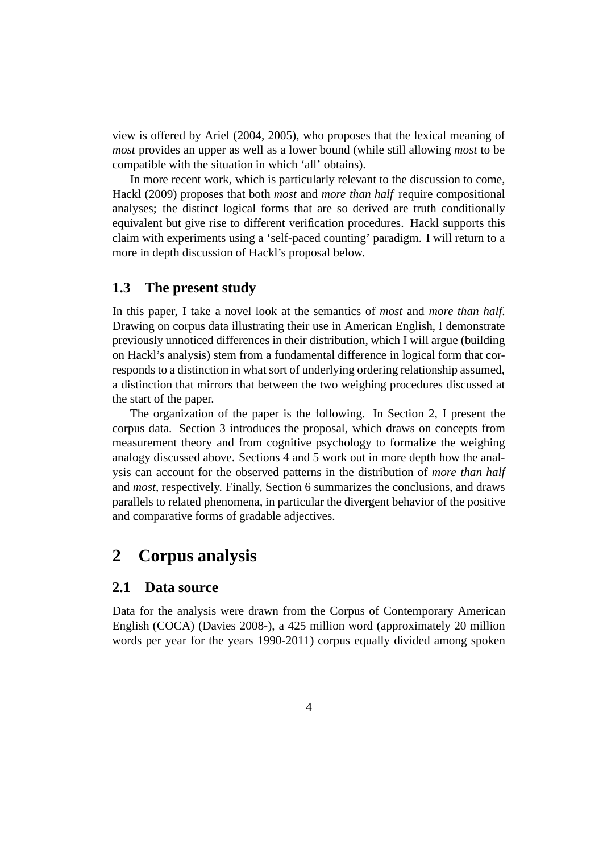view is offered by Ariel (2004, 2005), who proposes that the lexical meaning of *most* provides an upper as well as a lower bound (while still allowing *most* to be compatible with the situation in which 'all' obtains).

In more recent work, which is particularly relevant to the discussion to come, Hackl (2009) proposes that both *most* and *more than half* require compositional analyses; the distinct logical forms that are so derived are truth conditionally equivalent but give rise to different verification procedures. Hackl supports this claim with experiments using a 'self-paced counting' paradigm. I will return to a more in depth discussion of Hackl's proposal below.

### **1.3 The present study**

In this paper, I take a novel look at the semantics of *most* and *more than half*. Drawing on corpus data illustrating their use in American English, I demonstrate previously unnoticed differences in their distribution, which I will argue (building on Hackl's analysis) stem from a fundamental difference in logical form that corresponds to a distinction in what sort of underlying ordering relationship assumed, a distinction that mirrors that between the two weighing procedures discussed at the start of the paper.

The organization of the paper is the following. In Section 2, I present the corpus data. Section 3 introduces the proposal, which draws on concepts from measurement theory and from cognitive psychology to formalize the weighing analogy discussed above. Sections 4 and 5 work out in more depth how the analysis can account for the observed patterns in the distribution of *more than half* and *most*, respectively. Finally, Section 6 summarizes the conclusions, and draws parallels to related phenomena, in particular the divergent behavior of the positive and comparative forms of gradable adjectives.

# **2 Corpus analysis**

### **2.1 Data source**

Data for the analysis were drawn from the Corpus of Contemporary American English (COCA) (Davies 2008-), a 425 million word (approximately 20 million words per year for the years 1990-2011) corpus equally divided among spoken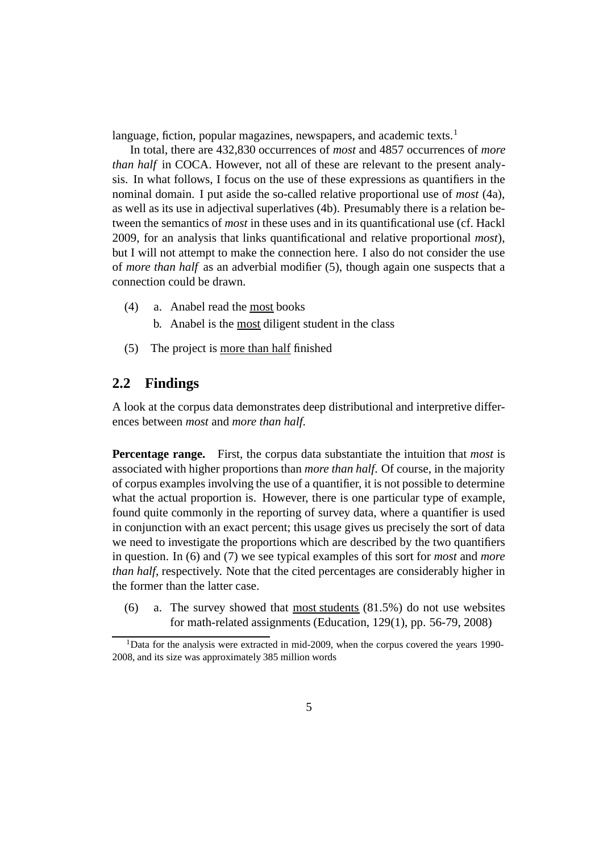language, fiction, popular magazines, newspapers, and academic texts.<sup>1</sup>

In total, there are 432,830 occurrences of *most* and 4857 occurrences of *more than half* in COCA. However, not all of these are relevant to the present analysis. In what follows, I focus on the use of these expressions as quantifiers in the nominal domain. I put aside the so-called relative proportional use of *most* (4a), as well as its use in adjectival superlatives (4b). Presumably there is a relation between the semantics of *most* in these uses and in its quantificational use (cf. Hackl 2009, for an analysis that links quantificational and relative proportional *most*), but I will not attempt to make the connection here. I also do not consider the use of *more than half* as an adverbial modifier (5), though again one suspects that a connection could be drawn.

- (4) a. Anabel read the most books
	- b. Anabel is the most diligent student in the class
- (5) The project is more than half finished

### **2.2 Findings**

A look at the corpus data demonstrates deep distributional and interpretive differences between *most* and *more than half*.

**Percentage range.** First, the corpus data substantiate the intuition that *most* is associated with higher proportions than *more than half*. Of course, in the majority of corpus examples involving the use of a quantifier, it is not possible to determine what the actual proportion is. However, there is one particular type of example, found quite commonly in the reporting of survey data, where a quantifier is used in conjunction with an exact percent; this usage gives us precisely the sort of data we need to investigate the proportions which are described by the two quantifiers in question. In (6) and (7) we see typical examples of this sort for *most* and *more than half*, respectively. Note that the cited percentages are considerably higher in the former than the latter case.

(6) a. The survey showed that most students (81.5%) do not use websites for math-related assignments (Education, 129(1), pp. 56-79, 2008)

 $1$ Data for the analysis were extracted in mid-2009, when the corpus covered the years 1990-2008, and its size was approximately 385 million words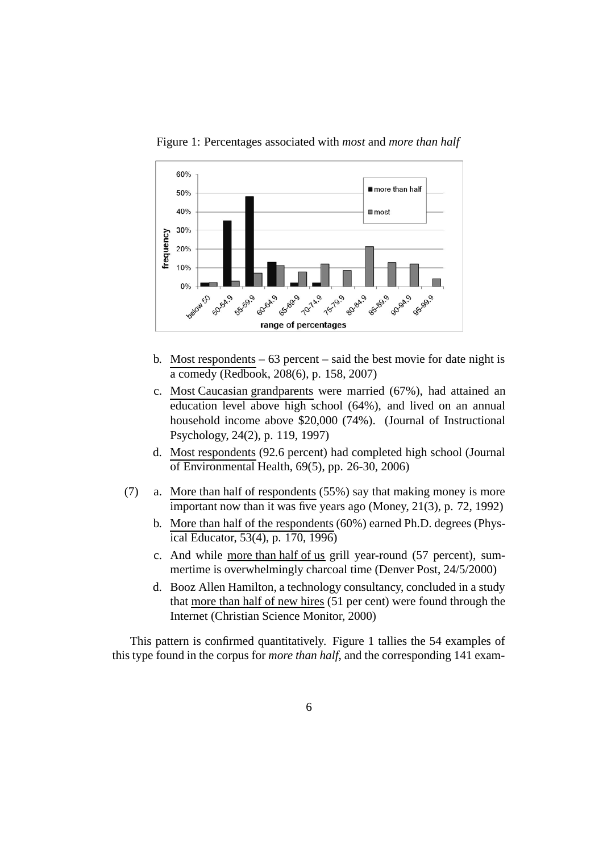

Figure 1: Percentages associated with *most* and *more than half*

- b. Most respondents  $-63$  percent  $-$  said the best movie for date night is a comedy (Redbook, 208(6), p. 158, 2007)
- c. Most Caucasian grandparents were married (67%), had attained an education level above high school (64%), and lived on an annual household income above \$20,000 (74%). (Journal of Instructional Psychology, 24(2), p. 119, 1997)
- d. Most respondents (92.6 percent) had completed high school (Journal of Environmental Health, 69(5), pp. 26-30, 2006)
- (7) a. More than half of respondents (55%) say that making money is more important now than it was five years ago (Money, 21(3), p. 72, 1992)
	- b. More than half of the respondents (60%) earned Ph.D. degrees (Physical Educator, 53(4), p. 170, 1996)
	- c. And while more than half of us grill year-round (57 percent), summertime is overwhelmingly charcoal time (Denver Post, 24/5/2000)
	- d. Booz Allen Hamilton, a technology consultancy, concluded in a study that more than half of new hires (51 per cent) were found through the Internet (Christian Science Monitor, 2000)

This pattern is confirmed quantitatively. Figure 1 tallies the 54 examples of this type found in the corpus for *more than half*, and the corresponding 141 exam-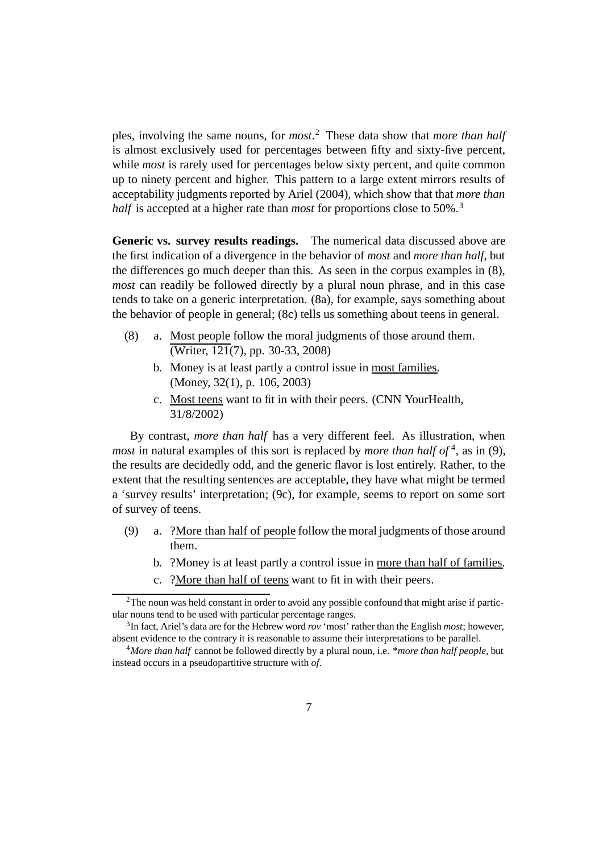ples, involving the same nouns, for *most*. <sup>2</sup> These data show that *more than half* is almost exclusively used for percentages between fifty and sixty-five percent, while *most* is rarely used for percentages below sixty percent, and quite common up to ninety percent and higher. This pattern to a large extent mirrors results of acceptability judgments reported by Ariel (2004), which show that that *more than half* is accepted at a higher rate than *most* for proportions close to 50%.<sup>3</sup>

**Generic vs. survey results readings.** The numerical data discussed above are the first indication of a divergence in the behavior of *most* and *more than half*, but the differences go much deeper than this. As seen in the corpus examples in (8), *most* can readily be followed directly by a plural noun phrase, and in this case tends to take on a generic interpretation. (8a), for example, says something about the behavior of people in general; (8c) tells us something about teens in general.

- (8) a. Most people follow the moral judgments of those around them.  $\overline{\text{(Writer, 121(7), pp. 30-33, 2008)}}$ 
	- b. Money is at least partly a control issue in most families. (Money, 32(1), p. 106, 2003)
	- c. Most teens want to fit in with their peers. (CNN YourHealth, 31/8/2002)

By contrast, *more than half* has a very different feel. As illustration, when *most* in natural examples of this sort is replaced by *more than half of*<sup>4</sup>, as in (9), the results are decidedly odd, and the generic flavor is lost entirely. Rather, to the extent that the resulting sentences are acceptable, they have what might be termed a 'survey results' interpretation; (9c), for example, seems to report on some sort of survey of teens.

- (9) a. ?More than half of people follow the moral judgments of those around them.
	- b. ?Money is at least partly a control issue in more than half of families.
	- c. ?More than half of teens want to fit in with their peers.

 $2$ The noun was held constant in order to avoid any possible confound that might arise if particular nouns tend to be used with particular percentage ranges.

<sup>3</sup>In fact, Ariel's data are for the Hebrew word *rov* 'most' rather than the English *most*; however, absent evidence to the contrary it is reasonable to assume their interpretations to be parallel.

<sup>4</sup>*More than half* cannot be followed directly by a plural noun, i.e. \**more than half people*, but instead occurs in a pseudopartitive structure with *of*.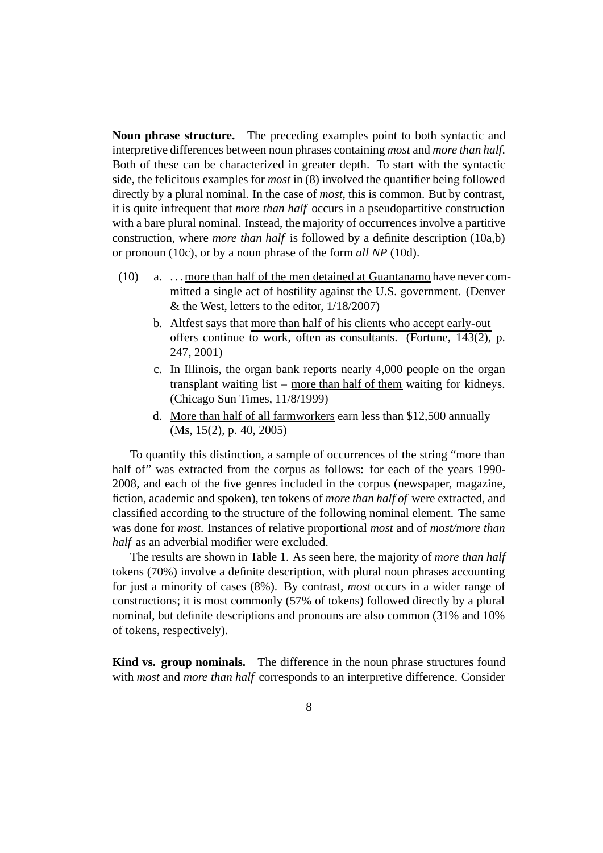**Noun phrase structure.** The preceding examples point to both syntactic and interpretive differences between noun phrases containing *most* and *more than half*. Both of these can be characterized in greater depth. To start with the syntactic side, the felicitous examples for *most* in (8) involved the quantifier being followed directly by a plural nominal. In the case of *most*, this is common. But by contrast, it is quite infrequent that *more than half* occurs in a pseudopartitive construction with a bare plural nominal. Instead, the majority of occurrences involve a partitive construction, where *more than half* is followed by a definite description (10a,b) or pronoun (10c), or by a noun phrase of the form *all NP* (10d).

- (10) a. . . . more than half of the men detained at Guantanamo have never committed a single act of hostility against the U.S. government. (Denver  $&$  the West, letters to the editor,  $1/18/2007$ )
	- b. Altfest says that more than half of his clients who accept early-out offers continue to work, often as consultants. (Fortune,  $143(2)$ , p. 247, 2001)
	- c. In Illinois, the organ bank reports nearly 4,000 people on the organ transplant waiting list – more than half of them waiting for kidneys. (Chicago Sun Times, 11/8/1999)
	- d. More than half of all farmworkers earn less than \$12,500 annually (Ms, 15(2), p. 40, 2005)

To quantify this distinction, a sample of occurrences of the string "more than half of" was extracted from the corpus as follows: for each of the years 1990-2008, and each of the five genres included in the corpus (newspaper, magazine, fiction, academic and spoken), ten tokens of *more than half of* were extracted, and classified according to the structure of the following nominal element. The same was done for *most*. Instances of relative proportional *most* and of *most/more than half* as an adverbial modifier were excluded.

The results are shown in Table 1. As seen here, the majority of *more than half* tokens (70%) involve a definite description, with plural noun phrases accounting for just a minority of cases (8%). By contrast, *most* occurs in a wider range of constructions; it is most commonly (57% of tokens) followed directly by a plural nominal, but definite descriptions and pronouns are also common (31% and 10% of tokens, respectively).

**Kind vs. group nominals.** The difference in the noun phrase structures found with *most* and *more than half* corresponds to an interpretive difference. Consider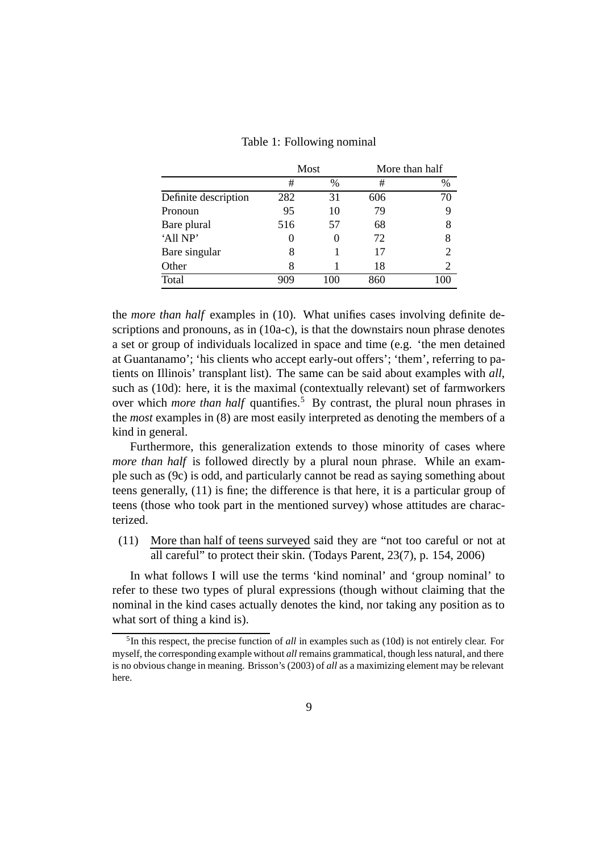|  | Table 1: Following nominal |  |
|--|----------------------------|--|
|--|----------------------------|--|

|                      | Most |                  | More than half |    |
|----------------------|------|------------------|----------------|----|
|                      | #    | $\%$             | #              | %  |
| Definite description | 282  | 31               | 606            | 70 |
| Pronoun              | 95   | 10               | 79             | 9  |
| Bare plural          | 516  | 57               | 68             | 8  |
| 'All NP'             |      | $\left( \right)$ | 72             | 8  |
| Bare singular        | 8    |                  | 17             | 2  |
| Other                | 8    |                  | 18             | 2  |
| Total                | ng   | 100              | 860            |    |

the *more than half* examples in (10). What unifies cases involving definite descriptions and pronouns, as in (10a-c), is that the downstairs noun phrase denotes a set or group of individuals localized in space and time (e.g. 'the men detained at Guantanamo'; 'his clients who accept early-out offers'; 'them', referring to patients on Illinois' transplant list). The same can be said about examples with *all*, such as (10d): here, it is the maximal (contextually relevant) set of farmworkers over which *more than half* quantifies.<sup>5</sup> By contrast, the plural noun phrases in the *most* examples in (8) are most easily interpreted as denoting the members of a kind in general.

Furthermore, this generalization extends to those minority of cases where *more than half* is followed directly by a plural noun phrase. While an example such as (9c) is odd, and particularly cannot be read as saying something about teens generally, (11) is fine; the difference is that here, it is a particular group of teens (those who took part in the mentioned survey) whose attitudes are characterized.

(11) More than half of teens surveyed said they are "not too careful or not at all careful" to protect their skin. (Todays Parent, 23(7), p. 154, 2006)

In what follows I will use the terms 'kind nominal' and 'group nominal' to refer to these two types of plural expressions (though without claiming that the nominal in the kind cases actually denotes the kind, nor taking any position as to what sort of thing a kind is).

<sup>5</sup>In this respect, the precise function of *all* in examples such as (10d) is not entirely clear. For myself, the corresponding example without *all* remains grammatical, though less natural, and there is no obvious change in meaning. Brisson's (2003) of *all* as a maximizing element may be relevant here.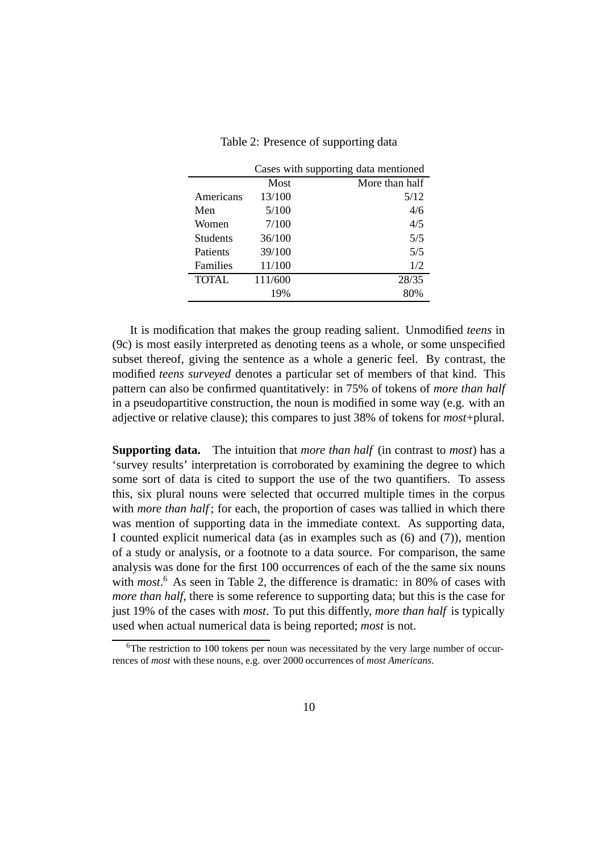Table 2: Presence of supporting data

|                 | Cases with supporting data mentioned |                |  |
|-----------------|--------------------------------------|----------------|--|
|                 | Most                                 | More than half |  |
| Americans       | 13/100                               | 5/12           |  |
| Men             | 5/100                                | 4/6            |  |
| Women           | 7/100                                | 4/5            |  |
| <b>Students</b> | 36/100                               | 5/5            |  |
| Patients        | 39/100                               | 5/5            |  |
| Families        | 11/100                               | 1/2            |  |
| <b>TOTAL</b>    | 111/600                              | 28/35          |  |
|                 | 19%                                  | 80%            |  |

It is modification that makes the group reading salient. Unmodified *teens* in (9c) is most easily interpreted as denoting teens as a whole, or some unspecified subset thereof, giving the sentence as a whole a generic feel. By contrast, the modified *teens surveyed* denotes a particular set of members of that kind. This pattern can also be confirmed quantitatively: in 75% of tokens of *more than half* in a pseudopartitive construction, the noun is modified in some way (e.g. with an adjective or relative clause); this compares to just 38% of tokens for *most*+plural.

**Supporting data.** The intuition that *more than half* (in contrast to *most*) has a 'survey results' interpretation is corroborated by examining the degree to which some sort of data is cited to support the use of the two quantifiers. To assess this, six plural nouns were selected that occurred multiple times in the corpus with *more than half*; for each, the proportion of cases was tallied in which there was mention of supporting data in the immediate context. As supporting data, I counted explicit numerical data (as in examples such as (6) and (7)), mention of a study or analysis, or a footnote to a data source. For comparison, the same analysis was done for the first 100 occurrences of each of the the same six nouns with *most*. <sup>6</sup> As seen in Table 2, the difference is dramatic: in 80% of cases with *more than half*, there is some reference to supporting data; but this is the case for just 19% of the cases with *most*. To put this diffently, *more than half* is typically used when actual numerical data is being reported; *most* is not.

 $6$ The restriction to 100 tokens per noun was necessitated by the very large number of occurrences of *most* with these nouns, e.g. over 2000 occurrences of *most Americans*.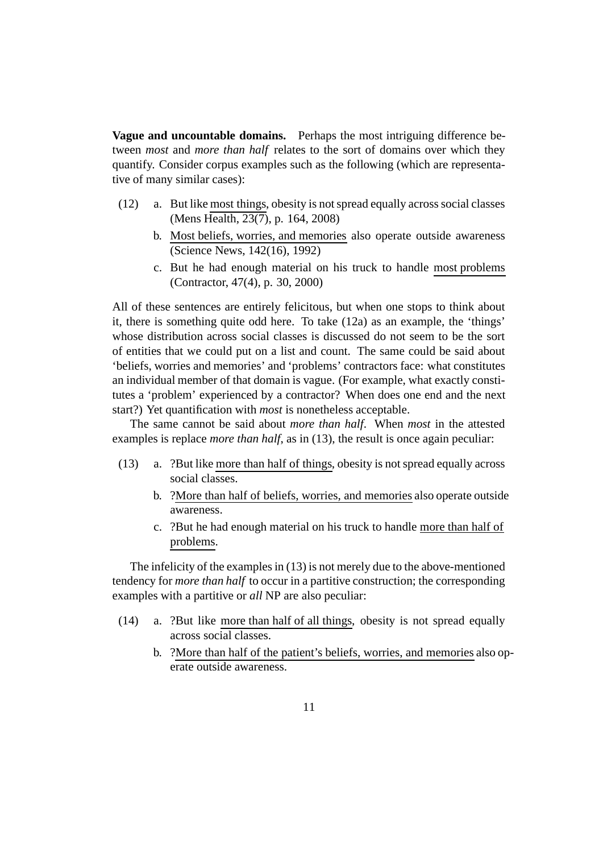**Vague and uncountable domains.** Perhaps the most intriguing difference between *most* and *more than half* relates to the sort of domains over which they quantify. Consider corpus examples such as the following (which are representative of many similar cases):

- (12) a. But like most things, obesity is not spread equally across social classes (Mens Health, 23(7), p. 164, 2008)
	- b. Most beliefs, worries, and memories also operate outside awareness (Science News, 142(16), 1992)
	- c. But he had enough material on his truck to handle most problems (Contractor, 47(4), p. 30, 2000)

All of these sentences are entirely felicitous, but when one stops to think about it, there is something quite odd here. To take (12a) as an example, the 'things' whose distribution across social classes is discussed do not seem to be the sort of entities that we could put on a list and count. The same could be said about 'beliefs, worries and memories' and 'problems' contractors face: what constitutes an individual member of that domain is vague. (For example, what exactly constitutes a 'problem' experienced by a contractor? When does one end and the next start?) Yet quantification with *most* is nonetheless acceptable.

The same cannot be said about *more than half*. When *most* in the attested examples is replace *more than half*, as in (13), the result is once again peculiar:

- (13) a. ?But like more than half of things, obesity is not spread equally across social classes.
	- b. ?More than half of beliefs, worries, and memories also operate outside awareness.
	- c. ?But he had enough material on his truck to handle more than half of problems.

The infelicity of the examples in (13) is not merely due to the above-mentioned tendency for *more than half* to occur in a partitive construction; the corresponding examples with a partitive or *all* NP are also peculiar:

- (14) a. ?But like more than half of all things, obesity is not spread equally across social classes.
	- b. ?More than half of the patient's beliefs, worries, and memories also operate outside awareness.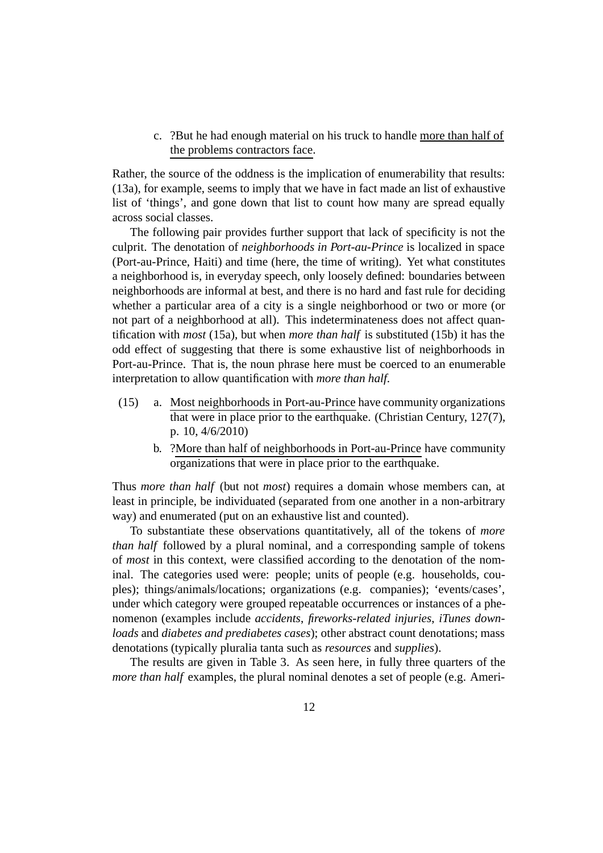c. ?But he had enough material on his truck to handle more than half of the problems contractors face.

Rather, the source of the oddness is the implication of enumerability that results: (13a), for example, seems to imply that we have in fact made an list of exhaustive list of 'things', and gone down that list to count how many are spread equally across social classes.

The following pair provides further support that lack of specificity is not the culprit. The denotation of *neighborhoods in Port-au-Prince* is localized in space (Port-au-Prince, Haiti) and time (here, the time of writing). Yet what constitutes a neighborhood is, in everyday speech, only loosely defined: boundaries between neighborhoods are informal at best, and there is no hard and fast rule for deciding whether a particular area of a city is a single neighborhood or two or more (or not part of a neighborhood at all). This indeterminateness does not affect quantification with *most* (15a), but when *more than half* is substituted (15b) it has the odd effect of suggesting that there is some exhaustive list of neighborhoods in Port-au-Prince. That is, the noun phrase here must be coerced to an enumerable interpretation to allow quantification with *more than half*.

- (15) a. Most neighborhoods in Port-au-Prince have community organizations that were in place prior to the earthquake. (Christian Century, 127(7), p. 10, 4/6/2010)
	- b. ?More than half of neighborhoods in Port-au-Prince have community organizations that were in place prior to the earthquake.

Thus *more than half* (but not *most*) requires a domain whose members can, at least in principle, be individuated (separated from one another in a non-arbitrary way) and enumerated (put on an exhaustive list and counted).

To substantiate these observations quantitatively, all of the tokens of *more than half* followed by a plural nominal, and a corresponding sample of tokens of *most* in this context, were classified according to the denotation of the nominal. The categories used were: people; units of people (e.g. households, couples); things/animals/locations; organizations (e.g. companies); 'events/cases', under which category were grouped repeatable occurrences or instances of a phenomenon (examples include *accidents*, *fireworks-related injuries*, *iTunes downloads* and *diabetes and prediabetes cases*); other abstract count denotations; mass denotations (typically pluralia tanta such as *resources* and *supplies*).

The results are given in Table 3. As seen here, in fully three quarters of the *more than half* examples, the plural nominal denotes a set of people (e.g. Ameri-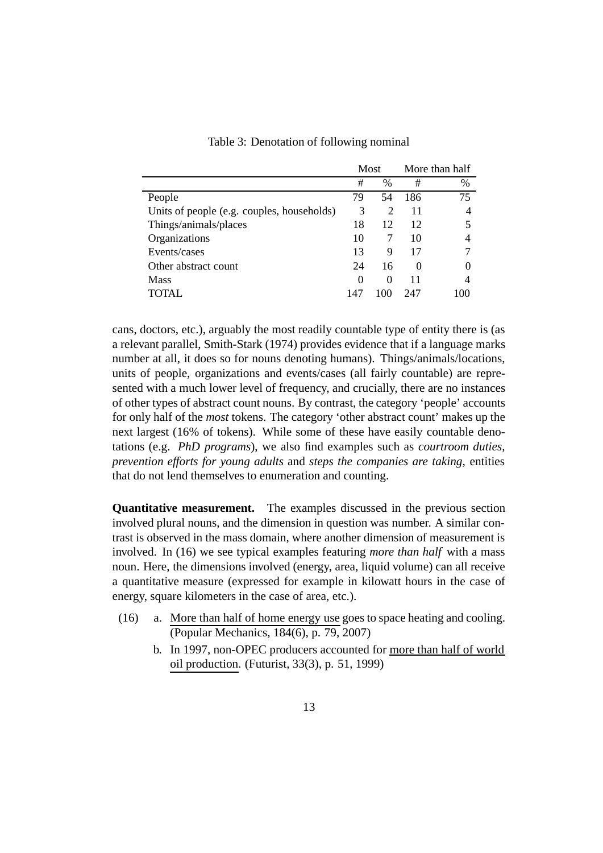|                                            | Most |               | More than half    |      |
|--------------------------------------------|------|---------------|-------------------|------|
|                                            | #    | $\frac{0}{0}$ | #                 | $\%$ |
| People                                     | 79   | 54            | 186               | 75   |
| Units of people (e.g. couples, households) | 3    | 2             | 11                | 4    |
| Things/animals/places                      | 18   | 12            | 12                |      |
| Organizations                              | 10   |               | 10                |      |
| Events/cases                               | 13   | 9             | 17                |      |
| Other abstract count                       | 24   | 16            | $\mathbf{\Omega}$ |      |
| <b>Mass</b>                                | 0    | $\Omega$      | 11                | 4    |
| $\cap$ tai                                 | 147  | 100           | 247               |      |

Table 3: Denotation of following nominal

cans, doctors, etc.), arguably the most readily countable type of entity there is (as a relevant parallel, Smith-Stark (1974) provides evidence that if a language marks number at all, it does so for nouns denoting humans). Things/animals/locations, units of people, organizations and events/cases (all fairly countable) are represented with a much lower level of frequency, and crucially, there are no instances of other types of abstract count nouns. By contrast, the category 'people' accounts for only half of the *most* tokens. The category 'other abstract count' makes up the next largest (16% of tokens). While some of these have easily countable denotations (e.g. *PhD programs*), we also find examples such as *courtroom duties*, *prevention efforts for young adults* and *steps the companies are taking*, entities that do not lend themselves to enumeration and counting.

**Quantitative measurement.** The examples discussed in the previous section involved plural nouns, and the dimension in question was number. A similar contrast is observed in the mass domain, where another dimension of measurement is involved. In (16) we see typical examples featuring *more than half* with a mass noun. Here, the dimensions involved (energy, area, liquid volume) can all receive a quantitative measure (expressed for example in kilowatt hours in the case of energy, square kilometers in the case of area, etc.).

- (16) a. More than half of home energy use goes to space heating and cooling. (Popular Mechanics, 184(6), p. 79, 2007)
	- b. In 1997, non-OPEC producers accounted for more than half of world oil production. (Futurist, 33(3), p. 51, 1999)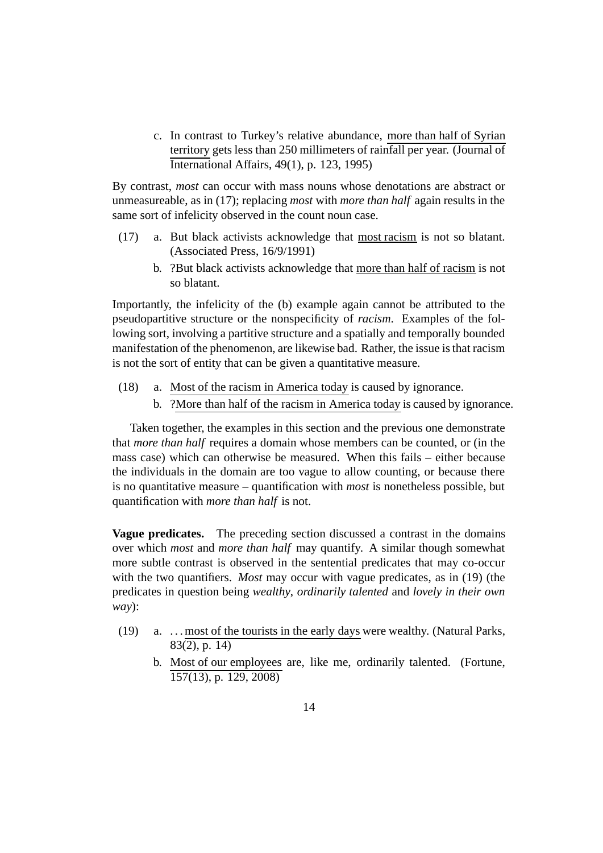c. In contrast to Turkey's relative abundance, more than half of Syrian territory gets less than 250 millimeters of rainfall per year. (Journal of International Affairs, 49(1), p. 123, 1995)

By contrast, *most* can occur with mass nouns whose denotations are abstract or unmeasureable, as in (17); replacing *most* with *more than half* again results in the same sort of infelicity observed in the count noun case.

- (17) a. But black activists acknowledge that most racism is not so blatant. (Associated Press, 16/9/1991)
	- b. ?But black activists acknowledge that more than half of racism is not so blatant.

Importantly, the infelicity of the (b) example again cannot be attributed to the pseudopartitive structure or the nonspecificity of *racism*. Examples of the following sort, involving a partitive structure and a spatially and temporally bounded manifestation of the phenomenon, are likewise bad. Rather, the issue is that racism is not the sort of entity that can be given a quantitative measure.

- (18) a. Most of the racism in America today is caused by ignorance.
	- b. ?More than half of the racism in America today is caused by ignorance.

Taken together, the examples in this section and the previous one demonstrate that *more than half* requires a domain whose members can be counted, or (in the mass case) which can otherwise be measured. When this fails – either because the individuals in the domain are too vague to allow counting, or because there is no quantitative measure – quantification with *most* is nonetheless possible, but quantification with *more than half* is not.

**Vague predicates.** The preceding section discussed a contrast in the domains over which *most* and *more than half* may quantify. A similar though somewhat more subtle contrast is observed in the sentential predicates that may co-occur with the two quantifiers. *Most* may occur with vague predicates, as in (19) (the predicates in question being *wealthy*, *ordinarily talented* and *lovely in their own way*):

- (19) a. . . . most of the tourists in the early days were wealthy. (Natural Parks,  $83(2)$ , p. 14)
	- b. Most of our employees are, like me, ordinarily talented. (Fortune, 157(13), p. 129, 2008)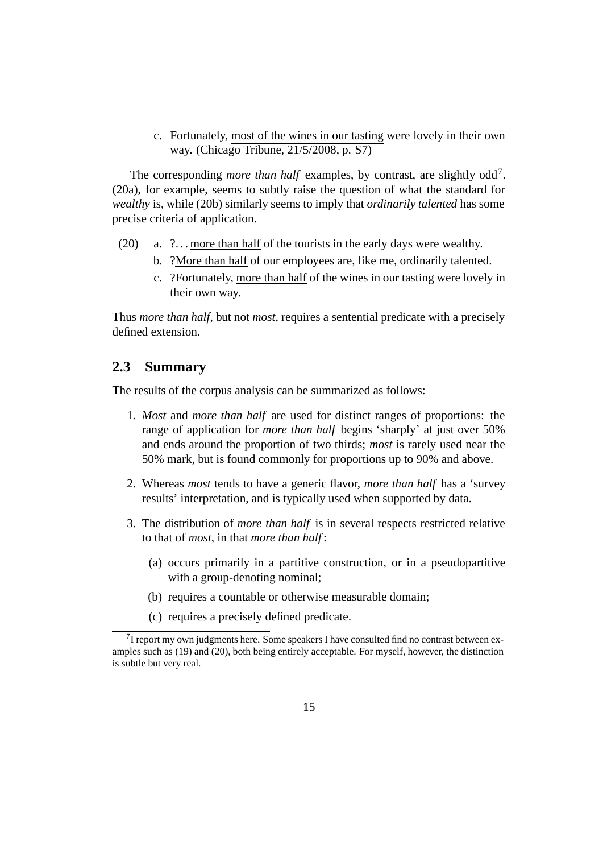c. Fortunately, most of the wines in our tasting were lovely in their own way. (Chicago Tribune, 21/5/2008, p. S7)

The corresponding *more than half* examples, by contrast, are slightly odd<sup>7</sup>. (20a), for example, seems to subtly raise the question of what the standard for *wealthy* is, while (20b) similarly seems to imply that *ordinarily talented* has some precise criteria of application.

- (20) a.  $? \dots$  more than half of the tourists in the early days were wealthy.
	- b. ?More than half of our employees are, like me, ordinarily talented.
	- c. ?Fortunately, more than half of the wines in our tasting were lovely in their own way.

Thus *more than half*, but not *most*, requires a sentential predicate with a precisely defined extension.

### **2.3 Summary**

The results of the corpus analysis can be summarized as follows:

- 1. *Most* and *more than half* are used for distinct ranges of proportions: the range of application for *more than half* begins 'sharply' at just over 50% and ends around the proportion of two thirds; *most* is rarely used near the 50% mark, but is found commonly for proportions up to 90% and above.
- 2. Whereas *most* tends to have a generic flavor, *more than half* has a 'survey results' interpretation, and is typically used when supported by data.
- 3. The distribution of *more than half* is in several respects restricted relative to that of *most*, in that *more than half* :
	- (a) occurs primarily in a partitive construction, or in a pseudopartitive with a group-denoting nominal;
	- (b) requires a countable or otherwise measurable domain;
	- (c) requires a precisely defined predicate.

 $7$ I report my own judgments here. Some speakers I have consulted find no contrast between examples such as (19) and (20), both being entirely acceptable. For myself, however, the distinction is subtle but very real.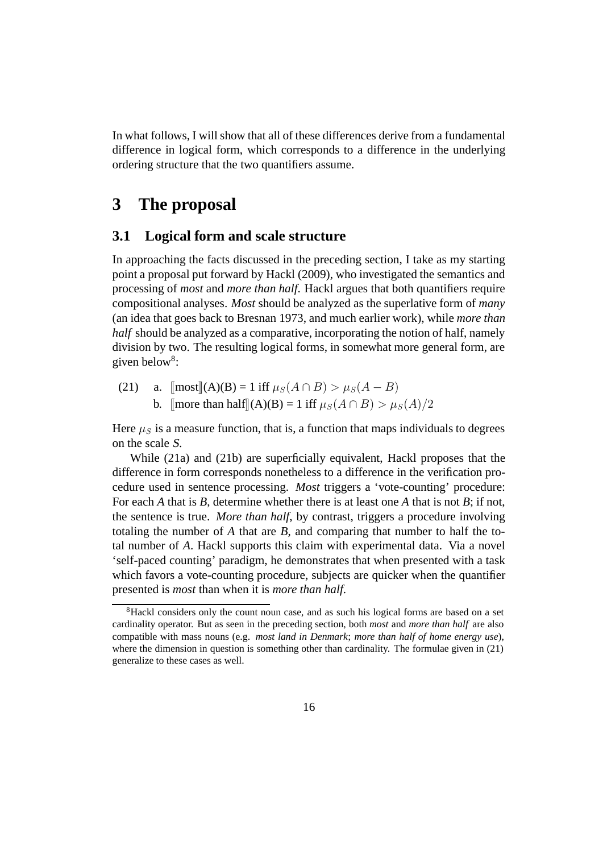In what follows, I will show that all of these differences derive from a fundamental difference in logical form, which corresponds to a difference in the underlying ordering structure that the two quantifiers assume.

# **3 The proposal**

### **3.1 Logical form and scale structure**

In approaching the facts discussed in the preceding section, I take as my starting point a proposal put forward by Hackl (2009), who investigated the semantics and processing of *most* and *more than half*. Hackl argues that both quantifiers require compositional analyses. *Most* should be analyzed as the superlative form of *many* (an idea that goes back to Bresnan 1973, and much earlier work), while *more than half* should be analyzed as a comparative, incorporating the notion of half, namely division by two. The resulting logical forms, in somewhat more general form, are given below<sup>8</sup>:

(21) a.  $\text{[most]}(A)(B) = 1 \text{ iff } \mu_S(A \cap B) > \mu_S(A - B)$ b.  $\lim_{A \to \infty} \frac{\text{d}}{\text{d}A} \ln \text{d}A = 1$  iff  $\mu_S(A \cap B) > \mu_S(A)/2$ 

Here  $\mu<sub>S</sub>$  is a measure function, that is, a function that maps individuals to degrees on the scale <sup>S</sup>.

While (21a) and (21b) are superficially equivalent, Hackl proposes that the difference in form corresponds nonetheless to a difference in the verification procedure used in sentence processing. *Most* triggers a 'vote-counting' procedure: For each *A* that is *B*, determine whether there is at least one *A* that is not *B*; if not, the sentence is true. *More than half*, by contrast, triggers a procedure involving totaling the number of *A* that are *B*, and comparing that number to half the total number of *A*. Hackl supports this claim with experimental data. Via a novel 'self-paced counting' paradigm, he demonstrates that when presented with a task which favors a vote-counting procedure, subjects are quicker when the quantifier presented is *most* than when it is *more than half*.

<sup>&</sup>lt;sup>8</sup>Hackl considers only the count noun case, and as such his logical forms are based on a set cardinality operator. But as seen in the preceding section, both *most* and *more than half* are also compatible with mass nouns (e.g. *most land in Denmark*; *more than half of home energy use*), where the dimension in question is something other than cardinality. The formulae given in (21) generalize to these cases as well.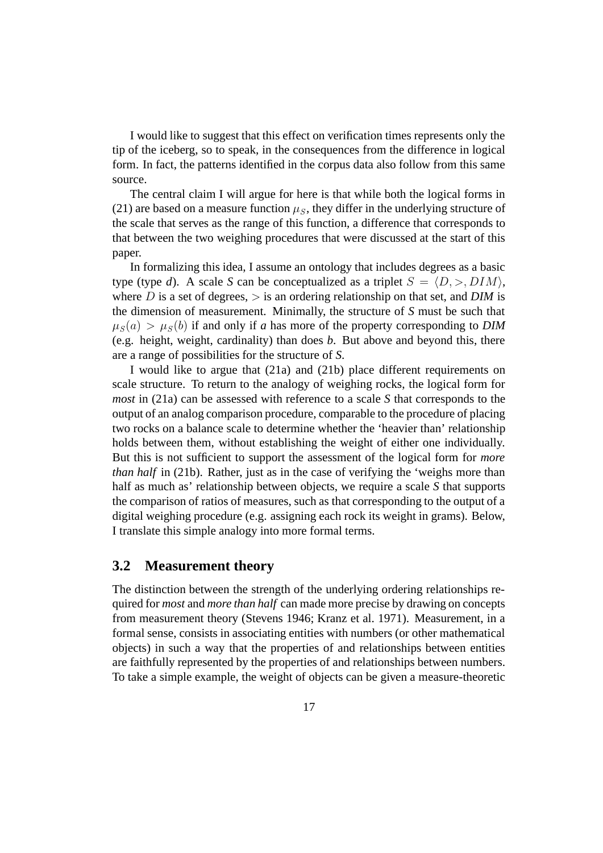I would like to suggest that this effect on verification times represents only the tip of the iceberg, so to speak, in the consequences from the difference in logical form. In fact, the patterns identified in the corpus data also follow from this same source.

The central claim I will argue for here is that while both the logical forms in (21) are based on a measure function  $\mu<sub>S</sub>$ , they differ in the underlying structure of the scale that serves as the range of this function, a difference that corresponds to that between the two weighing procedures that were discussed at the start of this paper.

In formalizing this idea, I assume an ontology that includes degrees as a basic type (type *d*). A scale *S* can be conceptualized as a triplet  $S = \langle D, \rangle, DIM$ , where D is a set of degrees,  $>$  is an ordering relationship on that set, and DIM is the dimension of measurement. Minimally, the structure of *S* must be such that  $\mu_S(a) > \mu_S(b)$  if and only if *a* has more of the property corresponding to *DIM* (e.g. height, weight, cardinality) than does *b*. But above and beyond this, there are a range of possibilities for the structure of *S*.

I would like to argue that (21a) and (21b) place different requirements on scale structure. To return to the analogy of weighing rocks, the logical form for *most* in (21a) can be assessed with reference to a scale *S* that corresponds to the output of an analog comparison procedure, comparable to the procedure of placing two rocks on a balance scale to determine whether the 'heavier than' relationship holds between them, without establishing the weight of either one individually. But this is not sufficient to support the assessment of the logical form for *more than half* in (21b). Rather, just as in the case of verifying the 'weighs more than half as much as' relationship between objects, we require a scale *S* that supports the comparison of ratios of measures, such as that corresponding to the output of a digital weighing procedure (e.g. assigning each rock its weight in grams). Below, I translate this simple analogy into more formal terms.

### **3.2 Measurement theory**

The distinction between the strength of the underlying ordering relationships required for *most* and *more than half* can made more precise by drawing on concepts from measurement theory (Stevens 1946; Kranz et al. 1971). Measurement, in a formal sense, consists in associating entities with numbers (or other mathematical objects) in such a way that the properties of and relationships between entities are faithfully represented by the properties of and relationships between numbers. To take a simple example, the weight of objects can be given a measure-theoretic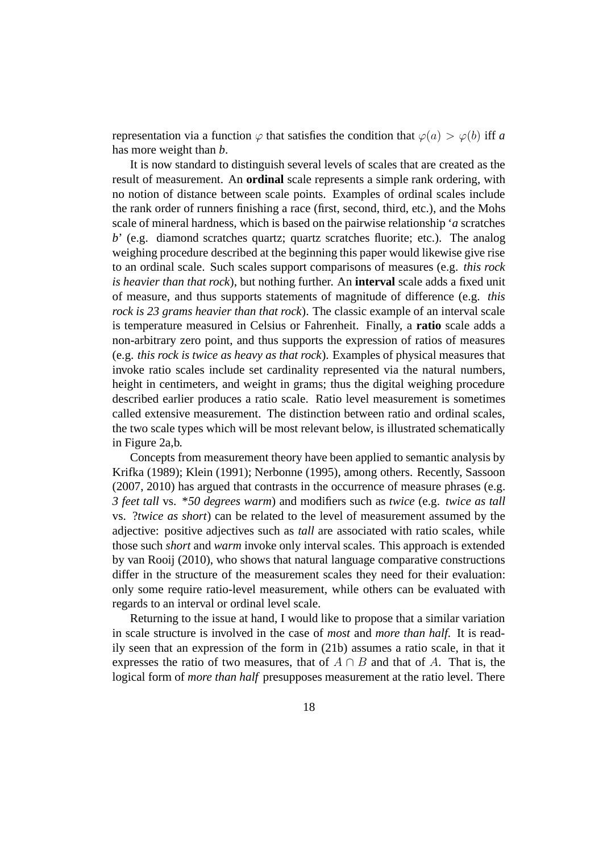representation via a function  $\varphi$  that satisfies the condition that  $\varphi(a) > \varphi(b)$  iff *a* has more weight than *b*.

It is now standard to distinguish several levels of scales that are created as the result of measurement. An **ordinal** scale represents a simple rank ordering, with no notion of distance between scale points. Examples of ordinal scales include the rank order of runners finishing a race (first, second, third, etc.), and the Mohs scale of mineral hardness, which is based on the pairwise relationship '*a* scratches *b*' (e.g. diamond scratches quartz; quartz scratches fluorite; etc.). The analog weighing procedure described at the beginning this paper would likewise give rise to an ordinal scale. Such scales support comparisons of measures (e.g. *this rock is heavier than that rock*), but nothing further. An **interval** scale adds a fixed unit of measure, and thus supports statements of magnitude of difference (e.g. *this rock is 23 grams heavier than that rock*). The classic example of an interval scale is temperature measured in Celsius or Fahrenheit. Finally, a **ratio** scale adds a non-arbitrary zero point, and thus supports the expression of ratios of measures (e.g. *this rock is twice as heavy as that rock*). Examples of physical measures that invoke ratio scales include set cardinality represented via the natural numbers, height in centimeters, and weight in grams; thus the digital weighing procedure described earlier produces a ratio scale. Ratio level measurement is sometimes called extensive measurement. The distinction between ratio and ordinal scales, the two scale types which will be most relevant below, is illustrated schematically in Figure 2a,b.

Concepts from measurement theory have been applied to semantic analysis by Krifka (1989); Klein (1991); Nerbonne (1995), among others. Recently, Sassoon (2007, 2010) has argued that contrasts in the occurrence of measure phrases (e.g. *3 feet tall* vs. \**50 degrees warm*) and modifiers such as *twice* (e.g. *twice as tall* vs. ?*twice as short*) can be related to the level of measurement assumed by the adjective: positive adjectives such as *tall* are associated with ratio scales, while those such *short* and *warm* invoke only interval scales. This approach is extended by van Rooij (2010), who shows that natural language comparative constructions differ in the structure of the measurement scales they need for their evaluation: only some require ratio-level measurement, while others can be evaluated with regards to an interval or ordinal level scale.

Returning to the issue at hand, I would like to propose that a similar variation in scale structure is involved in the case of *most* and *more than half*. It is readily seen that an expression of the form in (21b) assumes a ratio scale, in that it expresses the ratio of two measures, that of  $A \cap B$  and that of A. That is, the logical form of *more than half* presupposes measurement at the ratio level. There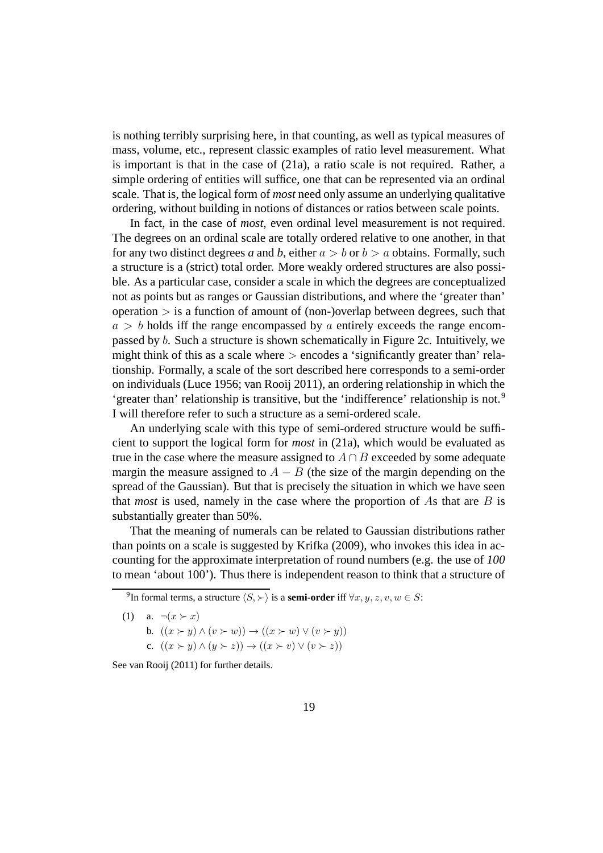is nothing terribly surprising here, in that counting, as well as typical measures of mass, volume, etc., represent classic examples of ratio level measurement. What is important is that in the case of (21a), a ratio scale is not required. Rather, a simple ordering of entities will suffice, one that can be represented via an ordinal scale. That is, the logical form of *most* need only assume an underlying qualitative ordering, without building in notions of distances or ratios between scale points.

In fact, in the case of *most*, even ordinal level measurement is not required. The degrees on an ordinal scale are totally ordered relative to one another, in that for any two distinct degrees *a* and *b*, either  $a > b$  or  $b > a$  obtains. Formally, such a structure is a (strict) total order. More weakly ordered structures are also possible. As a particular case, consider a scale in which the degrees are conceptualized not as points but as ranges or Gaussian distributions, and where the 'greater than'  $o$  operation  $>$  is a function of amount of (non-)overlap between degrees, such that  $a > b$  holds iff the range encompassed by a entirely exceeds the range encompassed by b. Such a structure is shown schematically in Figure 2c. Intuitively, we might think of this as a scale where  $>$  encodes a 'significantly greater than' relationship. Formally, a scale of the sort described here corresponds to a semi-order on individuals (Luce 1956; van Rooij 2011), an ordering relationship in which the 'greater than' relationship is transitive, but the 'indifference' relationship is not.<sup>9</sup> I will therefore refer to such a structure as a semi-ordered scale.

An underlying scale with this type of semi-ordered structure would be sufficient to support the logical form for *most* in (21a), which would be evaluated as true in the case where the measure assigned to  $A \cap B$  exceeded by some adequate margin the measure assigned to  $A - B$  (the size of the margin depending on the spread of the Gaussian). But that is precisely the situation in which we have seen that *most* is used, namely in the case where the proportion of As that are  $B$  is substantially greater than 50%.

That the meaning of numerals can be related to Gaussian distributions rather than points on a scale is suggested by Krifka (2009), who invokes this idea in accounting for the approximate interpretation of round numbers (e.g. the use of *100* to mean 'about 100'). Thus there is independent reason to think that a structure of

- (1) a.  $\neg(x \succ x)$ b.  $((x \succ y) \land (v \succ w)) \rightarrow ((x \succ w) \lor (v \succ y))$ 
	- c.  $((x \succ y) \land (y \succ z)) \rightarrow ((x \succ v) \lor (v \succ z))$

See van Rooij (2011) for further details.

<sup>&</sup>lt;sup>9</sup>In formal terms, a structure  $\langle S, \rangle$  is a **semi-order** iff  $\forall x, y, z, v, w \in S$ :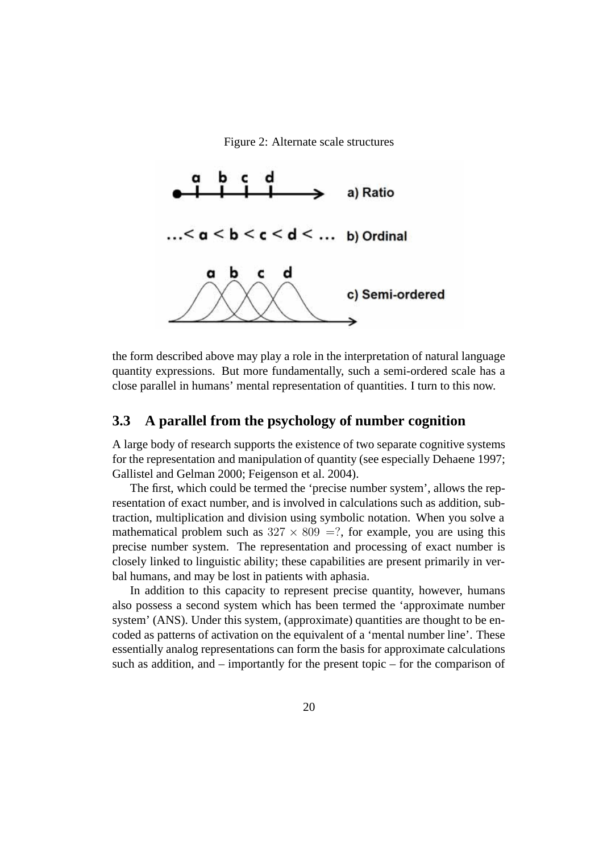Figure 2: Alternate scale structures



the form described above may play a role in the interpretation of natural language quantity expressions. But more fundamentally, such a semi-ordered scale has a close parallel in humans' mental representation of quantities. I turn to this now.

### **3.3 A parallel from the psychology of number cognition**

A large body of research supports the existence of two separate cognitive systems for the representation and manipulation of quantity (see especially Dehaene 1997; Gallistel and Gelman 2000; Feigenson et al. 2004).

The first, which could be termed the 'precise number system', allows the representation of exact number, and is involved in calculations such as addition, subtraction, multiplication and division using symbolic notation. When you solve a mathematical problem such as  $327 \times 809 = ?$ , for example, you are using this precise number system. The representation and processing of exact number is closely linked to linguistic ability; these capabilities are present primarily in verbal humans, and may be lost in patients with aphasia.

In addition to this capacity to represent precise quantity, however, humans also possess a second system which has been termed the 'approximate number system' (ANS). Under this system, (approximate) quantities are thought to be encoded as patterns of activation on the equivalent of a 'mental number line'. These essentially analog representations can form the basis for approximate calculations such as addition, and – importantly for the present topic – for the comparison of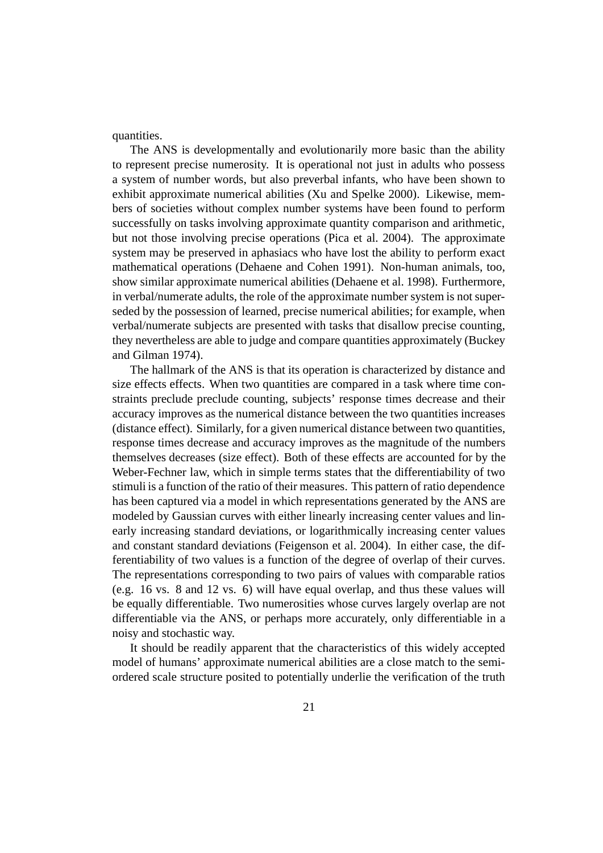quantities.

The ANS is developmentally and evolutionarily more basic than the ability to represent precise numerosity. It is operational not just in adults who possess a system of number words, but also preverbal infants, who have been shown to exhibit approximate numerical abilities (Xu and Spelke 2000). Likewise, members of societies without complex number systems have been found to perform successfully on tasks involving approximate quantity comparison and arithmetic, but not those involving precise operations (Pica et al. 2004). The approximate system may be preserved in aphasiacs who have lost the ability to perform exact mathematical operations (Dehaene and Cohen 1991). Non-human animals, too, show similar approximate numerical abilities (Dehaene et al. 1998). Furthermore, in verbal/numerate adults, the role of the approximate number system is not superseded by the possession of learned, precise numerical abilities; for example, when verbal/numerate subjects are presented with tasks that disallow precise counting, they nevertheless are able to judge and compare quantities approximately (Buckey and Gilman 1974).

The hallmark of the ANS is that its operation is characterized by distance and size effects effects. When two quantities are compared in a task where time constraints preclude preclude counting, subjects' response times decrease and their accuracy improves as the numerical distance between the two quantities increases (distance effect). Similarly, for a given numerical distance between two quantities, response times decrease and accuracy improves as the magnitude of the numbers themselves decreases (size effect). Both of these effects are accounted for by the Weber-Fechner law, which in simple terms states that the differentiability of two stimuli is a function of the ratio of their measures. This pattern of ratio dependence has been captured via a model in which representations generated by the ANS are modeled by Gaussian curves with either linearly increasing center values and linearly increasing standard deviations, or logarithmically increasing center values and constant standard deviations (Feigenson et al. 2004). In either case, the differentiability of two values is a function of the degree of overlap of their curves. The representations corresponding to two pairs of values with comparable ratios (e.g. 16 vs. 8 and 12 vs. 6) will have equal overlap, and thus these values will be equally differentiable. Two numerosities whose curves largely overlap are not differentiable via the ANS, or perhaps more accurately, only differentiable in a noisy and stochastic way.

It should be readily apparent that the characteristics of this widely accepted model of humans' approximate numerical abilities are a close match to the semiordered scale structure posited to potentially underlie the verification of the truth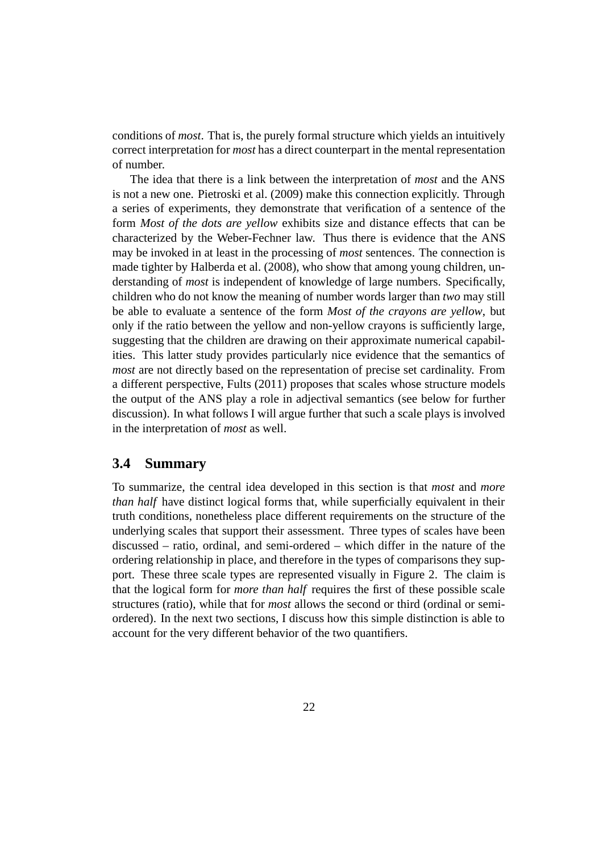conditions of *most*. That is, the purely formal structure which yields an intuitively correct interpretation for *most* has a direct counterpart in the mental representation of number.

The idea that there is a link between the interpretation of *most* and the ANS is not a new one. Pietroski et al. (2009) make this connection explicitly. Through a series of experiments, they demonstrate that verification of a sentence of the form *Most of the dots are yellow* exhibits size and distance effects that can be characterized by the Weber-Fechner law. Thus there is evidence that the ANS may be invoked in at least in the processing of *most* sentences. The connection is made tighter by Halberda et al. (2008), who show that among young children, understanding of *most* is independent of knowledge of large numbers. Specifically, children who do not know the meaning of number words larger than *two* may still be able to evaluate a sentence of the form *Most of the crayons are yellow*, but only if the ratio between the yellow and non-yellow crayons is sufficiently large, suggesting that the children are drawing on their approximate numerical capabilities. This latter study provides particularly nice evidence that the semantics of *most* are not directly based on the representation of precise set cardinality. From a different perspective, Fults (2011) proposes that scales whose structure models the output of the ANS play a role in adjectival semantics (see below for further discussion). In what follows I will argue further that such a scale plays is involved in the interpretation of *most* as well.

### **3.4 Summary**

To summarize, the central idea developed in this section is that *most* and *more than half* have distinct logical forms that, while superficially equivalent in their truth conditions, nonetheless place different requirements on the structure of the underlying scales that support their assessment. Three types of scales have been discussed – ratio, ordinal, and semi-ordered – which differ in the nature of the ordering relationship in place, and therefore in the types of comparisons they support. These three scale types are represented visually in Figure 2. The claim is that the logical form for *more than half* requires the first of these possible scale structures (ratio), while that for *most* allows the second or third (ordinal or semiordered). In the next two sections, I discuss how this simple distinction is able to account for the very different behavior of the two quantifiers.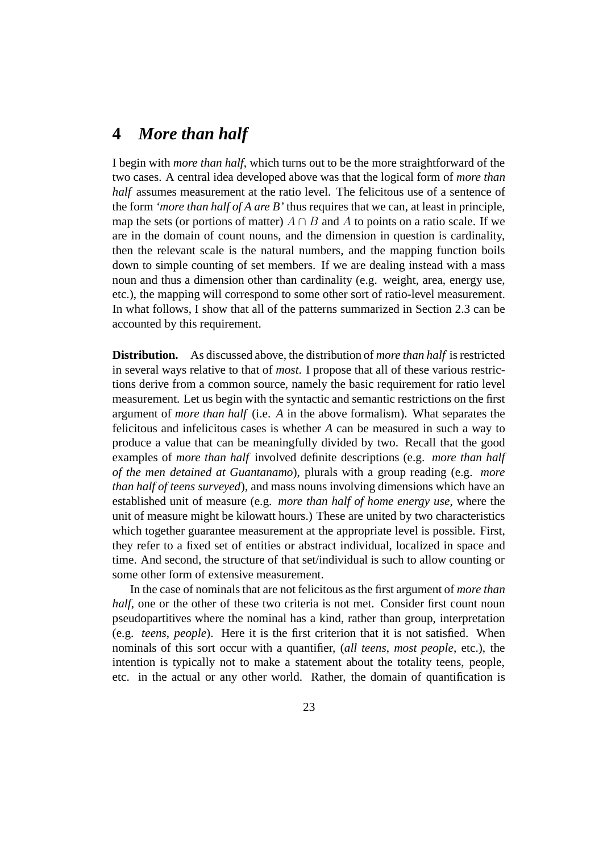# **4** *More than half*

I begin with *more than half*, which turns out to be the more straightforward of the two cases. A central idea developed above was that the logical form of *more than half* assumes measurement at the ratio level. The felicitous use of a sentence of the form *'more than half of A are B'* thus requires that we can, at least in principle, map the sets (or portions of matter)  $A \cap B$  and A to points on a ratio scale. If we are in the domain of count nouns, and the dimension in question is cardinality, then the relevant scale is the natural numbers, and the mapping function boils down to simple counting of set members. If we are dealing instead with a mass noun and thus a dimension other than cardinality (e.g. weight, area, energy use, etc.), the mapping will correspond to some other sort of ratio-level measurement. In what follows, I show that all of the patterns summarized in Section 2.3 can be accounted by this requirement.

**Distribution.** As discussed above, the distribution of *more than half* is restricted in several ways relative to that of *most*. I propose that all of these various restrictions derive from a common source, namely the basic requirement for ratio level measurement. Let us begin with the syntactic and semantic restrictions on the first argument of *more than half* (i.e. *A* in the above formalism). What separates the felicitous and infelicitous cases is whether *A* can be measured in such a way to produce a value that can be meaningfully divided by two. Recall that the good examples of *more than half* involved definite descriptions (e.g. *more than half of the men detained at Guantanamo*), plurals with a group reading (e.g. *more than half of teens surveyed*), and mass nouns involving dimensions which have an established unit of measure (e.g. *more than half of home energy use*, where the unit of measure might be kilowatt hours.) These are united by two characteristics which together guarantee measurement at the appropriate level is possible. First, they refer to a fixed set of entities or abstract individual, localized in space and time. And second, the structure of that set/individual is such to allow counting or some other form of extensive measurement.

In the case of nominals that are not felicitous as the first argument of *more than half*, one or the other of these two criteria is not met. Consider first count noun pseudopartitives where the nominal has a kind, rather than group, interpretation (e.g. *teens*, *people*). Here it is the first criterion that it is not satisfied. When nominals of this sort occur with a quantifier, (*all teens*, *most people*, etc.), the intention is typically not to make a statement about the totality teens, people, etc. in the actual or any other world. Rather, the domain of quantification is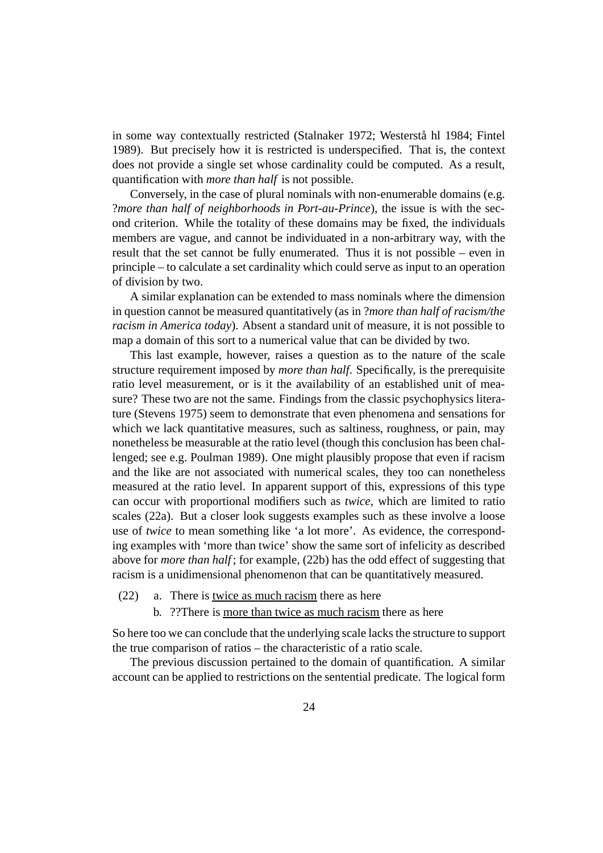in some way contextually restricted (Stalnaker 1972; Westerstå hl 1984; Fintel 1989). But precisely how it is restricted is underspecified. That is, the context does not provide a single set whose cardinality could be computed. As a result, quantification with *more than half* is not possible.

Conversely, in the case of plural nominals with non-enumerable domains (e.g. ?*more than half of neighborhoods in Port-au-Prince*), the issue is with the second criterion. While the totality of these domains may be fixed, the individuals members are vague, and cannot be individuated in a non-arbitrary way, with the result that the set cannot be fully enumerated. Thus it is not possible – even in principle – to calculate a set cardinality which could serve as input to an operation of division by two.

A similar explanation can be extended to mass nominals where the dimension in question cannot be measured quantitatively (as in ?*more than half of racism/the racism in America today*). Absent a standard unit of measure, it is not possible to map a domain of this sort to a numerical value that can be divided by two.

This last example, however, raises a question as to the nature of the scale structure requirement imposed by *more than half*. Specifically, is the prerequisite ratio level measurement, or is it the availability of an established unit of measure? These two are not the same. Findings from the classic psychophysics literature (Stevens 1975) seem to demonstrate that even phenomena and sensations for which we lack quantitative measures, such as saltiness, roughness, or pain, may nonetheless be measurable at the ratio level (though this conclusion has been challenged; see e.g. Poulman 1989). One might plausibly propose that even if racism and the like are not associated with numerical scales, they too can nonetheless measured at the ratio level. In apparent support of this, expressions of this type can occur with proportional modifiers such as *twice*, which are limited to ratio scales (22a). But a closer look suggests examples such as these involve a loose use of *twice* to mean something like 'a lot more'. As evidence, the corresponding examples with 'more than twice' show the same sort of infelicity as described above for *more than half* ; for example, (22b) has the odd effect of suggesting that racism is a unidimensional phenomenon that can be quantitatively measured.

- (22) a. There is twice as much racism there as here
	- b. ??There is more than twice as much racism there as here

So here too we can conclude that the underlying scale lacks the structure to support the true comparison of ratios – the characteristic of a ratio scale.

The previous discussion pertained to the domain of quantification. A similar account can be applied to restrictions on the sentential predicate. The logical form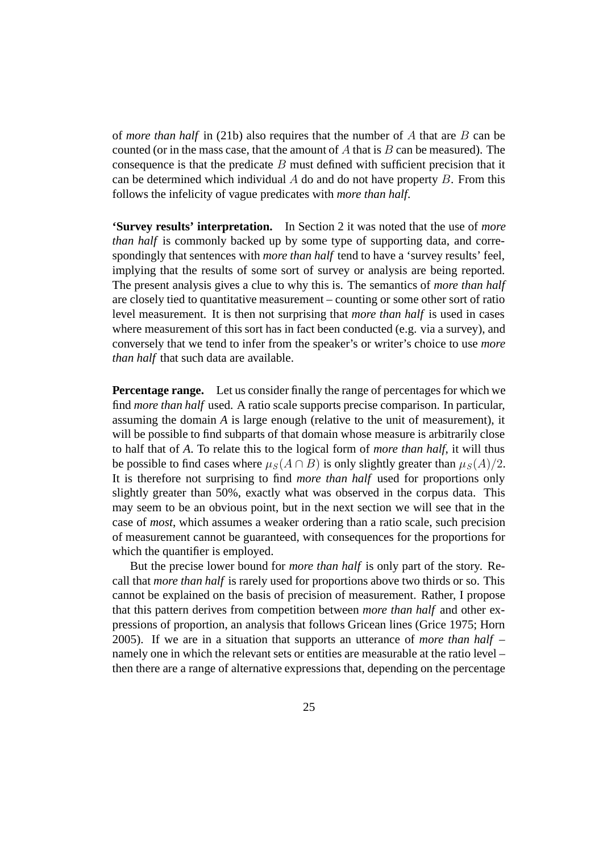of *more than half* in (21b) also requires that the number of A that are B can be counted (or in the mass case, that the amount of  $A$  that is  $B$  can be measured). The consequence is that the predicate  $B$  must defined with sufficient precision that it can be determined which individual  $A$  do and do not have property  $B$ . From this follows the infelicity of vague predicates with *more than half*.

**'Survey results' interpretation.** In Section 2 it was noted that the use of *more than half* is commonly backed up by some type of supporting data, and correspondingly that sentences with *more than half* tend to have a 'survey results' feel, implying that the results of some sort of survey or analysis are being reported. The present analysis gives a clue to why this is. The semantics of *more than half* are closely tied to quantitative measurement – counting or some other sort of ratio level measurement. It is then not surprising that *more than half* is used in cases where measurement of this sort has in fact been conducted (e.g. via a survey), and conversely that we tend to infer from the speaker's or writer's choice to use *more than half* that such data are available.

**Percentage range.** Let us consider finally the range of percentages for which we find *more than half* used. A ratio scale supports precise comparison. In particular, assuming the domain *A* is large enough (relative to the unit of measurement), it will be possible to find subparts of that domain whose measure is arbitrarily close to half that of *A*. To relate this to the logical form of *more than half*, it will thus be possible to find cases where  $\mu_S(A \cap B)$  is only slightly greater than  $\mu_S(A)/2$ . It is therefore not surprising to find *more than half* used for proportions only slightly greater than 50%, exactly what was observed in the corpus data. This may seem to be an obvious point, but in the next section we will see that in the case of *most*, which assumes a weaker ordering than a ratio scale, such precision of measurement cannot be guaranteed, with consequences for the proportions for which the quantifier is employed.

But the precise lower bound for *more than half* is only part of the story. Recall that *more than half* is rarely used for proportions above two thirds or so. This cannot be explained on the basis of precision of measurement. Rather, I propose that this pattern derives from competition between *more than half* and other expressions of proportion, an analysis that follows Gricean lines (Grice 1975; Horn 2005). If we are in a situation that supports an utterance of *more than half* – namely one in which the relevant sets or entities are measurable at the ratio level – then there are a range of alternative expressions that, depending on the percentage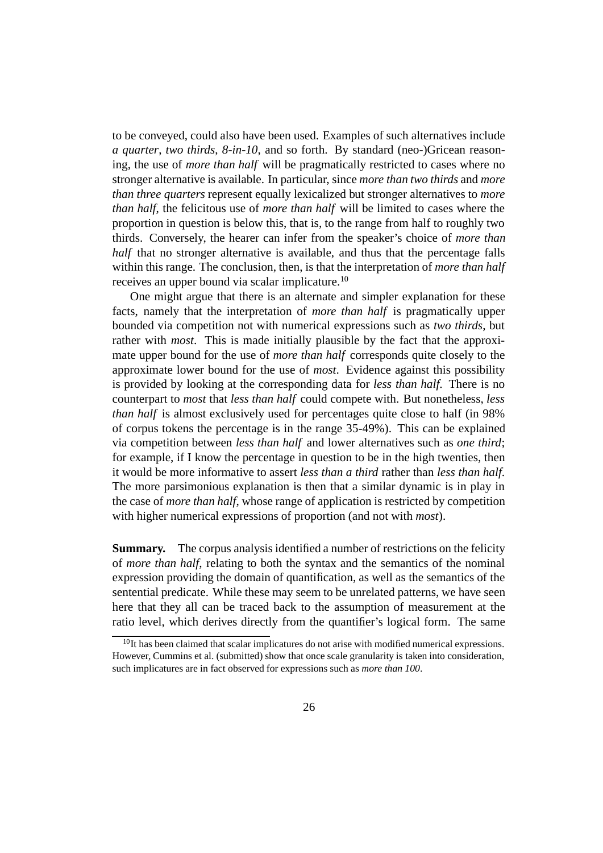to be conveyed, could also have been used. Examples of such alternatives include *a quarter*, *two thirds*, *8-in-10*, and so forth. By standard (neo-)Gricean reasoning, the use of *more than half* will be pragmatically restricted to cases where no stronger alternative is available. In particular, since *more than two thirds* and *more than three quarters* represent equally lexicalized but stronger alternatives to *more than half*, the felicitous use of *more than half* will be limited to cases where the proportion in question is below this, that is, to the range from half to roughly two thirds. Conversely, the hearer can infer from the speaker's choice of *more than half* that no stronger alternative is available, and thus that the percentage falls within this range. The conclusion, then, is that the interpretation of *more than half* receives an upper bound via scalar implicature.<sup>10</sup>

One might argue that there is an alternate and simpler explanation for these facts, namely that the interpretation of *more than half* is pragmatically upper bounded via competition not with numerical expressions such as *two thirds*, but rather with *most*. This is made initially plausible by the fact that the approximate upper bound for the use of *more than half* corresponds quite closely to the approximate lower bound for the use of *most*. Evidence against this possibility is provided by looking at the corresponding data for *less than half*. There is no counterpart to *most* that *less than half* could compete with. But nonetheless, *less than half* is almost exclusively used for percentages quite close to half (in 98% of corpus tokens the percentage is in the range 35-49%). This can be explained via competition between *less than half* and lower alternatives such as *one third*; for example, if I know the percentage in question to be in the high twenties, then it would be more informative to assert *less than a third* rather than *less than half*. The more parsimonious explanation is then that a similar dynamic is in play in the case of *more than half*, whose range of application is restricted by competition with higher numerical expressions of proportion (and not with *most*).

**Summary.** The corpus analysis identified a number of restrictions on the felicity of *more than half*, relating to both the syntax and the semantics of the nominal expression providing the domain of quantification, as well as the semantics of the sentential predicate. While these may seem to be unrelated patterns, we have seen here that they all can be traced back to the assumption of measurement at the ratio level, which derives directly from the quantifier's logical form. The same

<sup>&</sup>lt;sup>10</sup>It has been claimed that scalar implicatures do not arise with modified numerical expressions. However, Cummins et al. (submitted) show that once scale granularity is taken into consideration, such implicatures are in fact observed for expressions such as *more than 100*.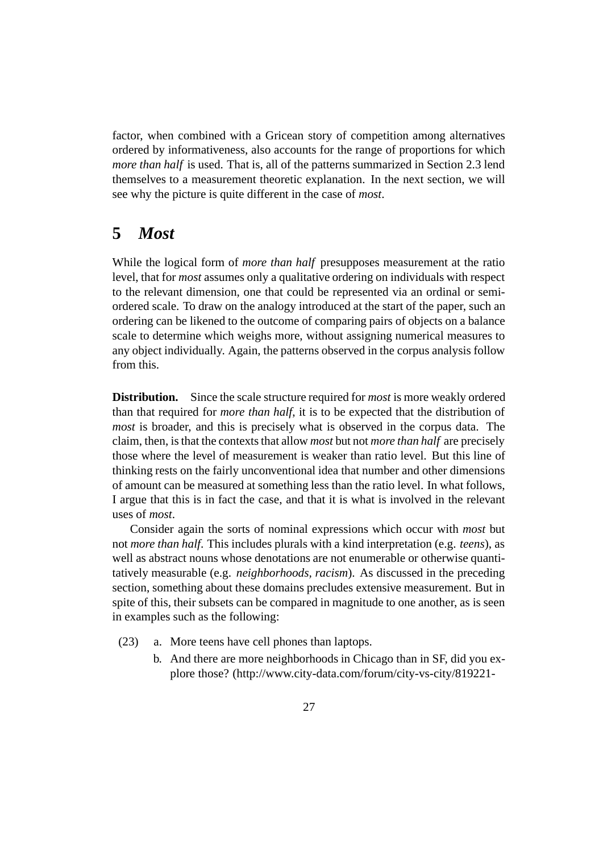factor, when combined with a Gricean story of competition among alternatives ordered by informativeness, also accounts for the range of proportions for which *more than half* is used. That is, all of the patterns summarized in Section 2.3 lend themselves to a measurement theoretic explanation. In the next section, we will see why the picture is quite different in the case of *most*.

# **5** *Most*

While the logical form of *more than half* presupposes measurement at the ratio level, that for *most* assumes only a qualitative ordering on individuals with respect to the relevant dimension, one that could be represented via an ordinal or semiordered scale. To draw on the analogy introduced at the start of the paper, such an ordering can be likened to the outcome of comparing pairs of objects on a balance scale to determine which weighs more, without assigning numerical measures to any object individually. Again, the patterns observed in the corpus analysis follow from this.

**Distribution.** Since the scale structure required for *most* is more weakly ordered than that required for *more than half*, it is to be expected that the distribution of *most* is broader, and this is precisely what is observed in the corpus data. The claim, then, is that the contexts that allow *most* but not *more than half* are precisely those where the level of measurement is weaker than ratio level. But this line of thinking rests on the fairly unconventional idea that number and other dimensions of amount can be measured at something less than the ratio level. In what follows, I argue that this is in fact the case, and that it is what is involved in the relevant uses of *most*.

Consider again the sorts of nominal expressions which occur with *most* but not *more than half*. This includes plurals with a kind interpretation (e.g. *teens*), as well as abstract nouns whose denotations are not enumerable or otherwise quantitatively measurable (e.g. *neighborhoods, racism*). As discussed in the preceding section, something about these domains precludes extensive measurement. But in spite of this, their subsets can be compared in magnitude to one another, as is seen in examples such as the following:

- (23) a. More teens have cell phones than laptops.
	- b. And there are more neighborhoods in Chicago than in SF, did you explore those? (http://www.city-data.com/forum/city-vs-city/819221-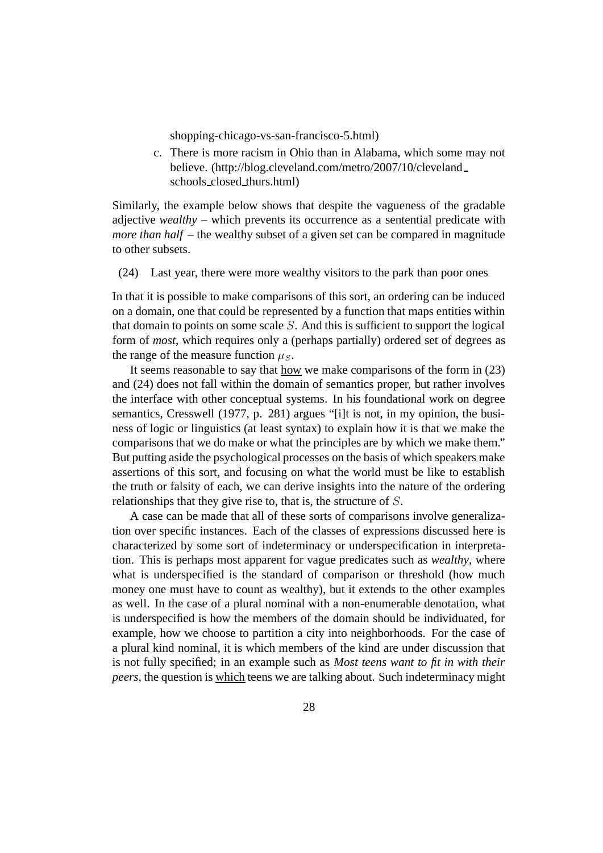shopping-chicago-vs-san-francisco-5.html)

c. There is more racism in Ohio than in Alabama, which some may not believe. (http://blog.cleveland.com/metro/2007/10/cleveland schools closed thurs.html)

Similarly, the example below shows that despite the vagueness of the gradable adjective *wealthy* – which prevents its occurrence as a sentential predicate with *more than half* – the wealthy subset of a given set can be compared in magnitude to other subsets.

(24) Last year, there were more wealthy visitors to the park than poor ones

In that it is possible to make comparisons of this sort, an ordering can be induced on a domain, one that could be represented by a function that maps entities within that domain to points on some scale S. And this is sufficient to support the logical form of *most*, which requires only a (perhaps partially) ordered set of degrees as the range of the measure function  $\mu_S$ .

It seems reasonable to say that how we make comparisons of the form in (23) and (24) does not fall within the domain of semantics proper, but rather involves the interface with other conceptual systems. In his foundational work on degree semantics, Cresswell (1977, p. 281) argues "[i]t is not, in my opinion, the business of logic or linguistics (at least syntax) to explain how it is that we make the comparisons that we do make or what the principles are by which we make them." But putting aside the psychological processes on the basis of which speakers make assertions of this sort, and focusing on what the world must be like to establish the truth or falsity of each, we can derive insights into the nature of the ordering relationships that they give rise to, that is, the structure of S.

A case can be made that all of these sorts of comparisons involve generalization over specific instances. Each of the classes of expressions discussed here is characterized by some sort of indeterminacy or underspecification in interpretation. This is perhaps most apparent for vague predicates such as *wealthy*, where what is underspecified is the standard of comparison or threshold (how much money one must have to count as wealthy), but it extends to the other examples as well. In the case of a plural nominal with a non-enumerable denotation, what is underspecified is how the members of the domain should be individuated, for example, how we choose to partition a city into neighborhoods. For the case of a plural kind nominal, it is which members of the kind are under discussion that is not fully specified; in an example such as *Most teens want to fit in with their peers*, the question is which teens we are talking about. Such indeterminacy might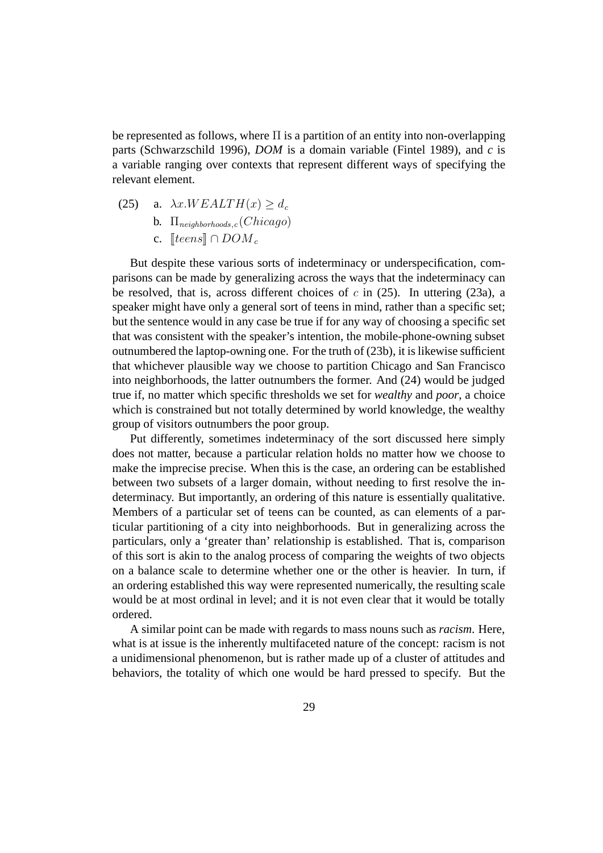be represented as follows, where Π is a partition of an entity into non-overlapping parts (Schwarzschild 1996), *DOM* is a domain variable (Fintel 1989), and *c* is a variable ranging over contexts that represent different ways of specifying the relevant element.

- (25) a.  $\lambda x.WEALTH(x) > d_c$ 
	- b. Π*neighborhoods,<sup>c</sup>* (Chicago)
	- c.  $\llbracket teens\rrbracket \cap DOM_c$

But despite these various sorts of indeterminacy or underspecification, comparisons can be made by generalizing across the ways that the indeterminacy can be resolved, that is, across different choices of  $c$  in (25). In uttering (23a), a speaker might have only a general sort of teens in mind, rather than a specific set; but the sentence would in any case be true if for any way of choosing a specific set that was consistent with the speaker's intention, the mobile-phone-owning subset outnumbered the laptop-owning one. For the truth of (23b), it is likewise sufficient that whichever plausible way we choose to partition Chicago and San Francisco into neighborhoods, the latter outnumbers the former. And (24) would be judged true if, no matter which specific thresholds we set for *wealthy* and *poor*, a choice which is constrained but not totally determined by world knowledge, the wealthy group of visitors outnumbers the poor group.

Put differently, sometimes indeterminacy of the sort discussed here simply does not matter, because a particular relation holds no matter how we choose to make the imprecise precise. When this is the case, an ordering can be established between two subsets of a larger domain, without needing to first resolve the indeterminacy. But importantly, an ordering of this nature is essentially qualitative. Members of a particular set of teens can be counted, as can elements of a particular partitioning of a city into neighborhoods. But in generalizing across the particulars, only a 'greater than' relationship is established. That is, comparison of this sort is akin to the analog process of comparing the weights of two objects on a balance scale to determine whether one or the other is heavier. In turn, if an ordering established this way were represented numerically, the resulting scale would be at most ordinal in level; and it is not even clear that it would be totally ordered.

A similar point can be made with regards to mass nouns such as *racism*. Here, what is at issue is the inherently multifaceted nature of the concept: racism is not a unidimensional phenomenon, but is rather made up of a cluster of attitudes and behaviors, the totality of which one would be hard pressed to specify. But the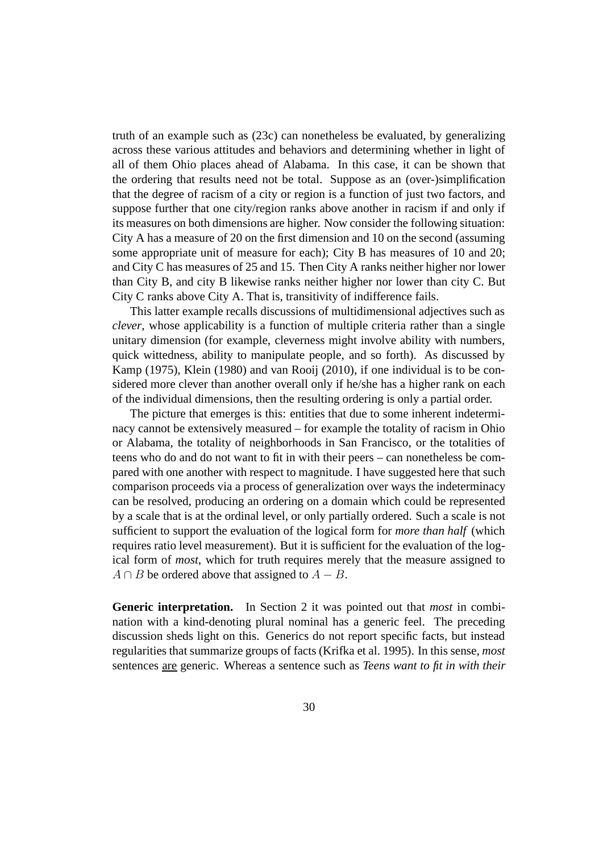truth of an example such as (23c) can nonetheless be evaluated, by generalizing across these various attitudes and behaviors and determining whether in light of all of them Ohio places ahead of Alabama. In this case, it can be shown that the ordering that results need not be total. Suppose as an (over-)simplification that the degree of racism of a city or region is a function of just two factors, and suppose further that one city/region ranks above another in racism if and only if its measures on both dimensions are higher. Now consider the following situation: City A has a measure of 20 on the first dimension and 10 on the second (assuming some appropriate unit of measure for each); City B has measures of 10 and 20; and City C has measures of 25 and 15. Then City A ranks neither higher nor lower than City B, and city B likewise ranks neither higher nor lower than city C. But City C ranks above City A. That is, transitivity of indifference fails.

This latter example recalls discussions of multidimensional adjectives such as *clever*, whose applicability is a function of multiple criteria rather than a single unitary dimension (for example, cleverness might involve ability with numbers, quick wittedness, ability to manipulate people, and so forth). As discussed by Kamp (1975), Klein (1980) and van Rooij (2010), if one individual is to be considered more clever than another overall only if he/she has a higher rank on each of the individual dimensions, then the resulting ordering is only a partial order.

The picture that emerges is this: entities that due to some inherent indeterminacy cannot be extensively measured – for example the totality of racism in Ohio or Alabama, the totality of neighborhoods in San Francisco, or the totalities of teens who do and do not want to fit in with their peers – can nonetheless be compared with one another with respect to magnitude. I have suggested here that such comparison proceeds via a process of generalization over ways the indeterminacy can be resolved, producing an ordering on a domain which could be represented by a scale that is at the ordinal level, or only partially ordered. Such a scale is not sufficient to support the evaluation of the logical form for *more than half* (which requires ratio level measurement). But it is sufficient for the evaluation of the logical form of *most*, which for truth requires merely that the measure assigned to  $A \cap B$  be ordered above that assigned to  $A - B$ .

**Generic interpretation.** In Section 2 it was pointed out that *most* in combination with a kind-denoting plural nominal has a generic feel. The preceding discussion sheds light on this. Generics do not report specific facts, but instead regularities that summarize groups of facts (Krifka et al. 1995). In this sense, *most* sentences are generic. Whereas a sentence such as *Teens want to fit in with their*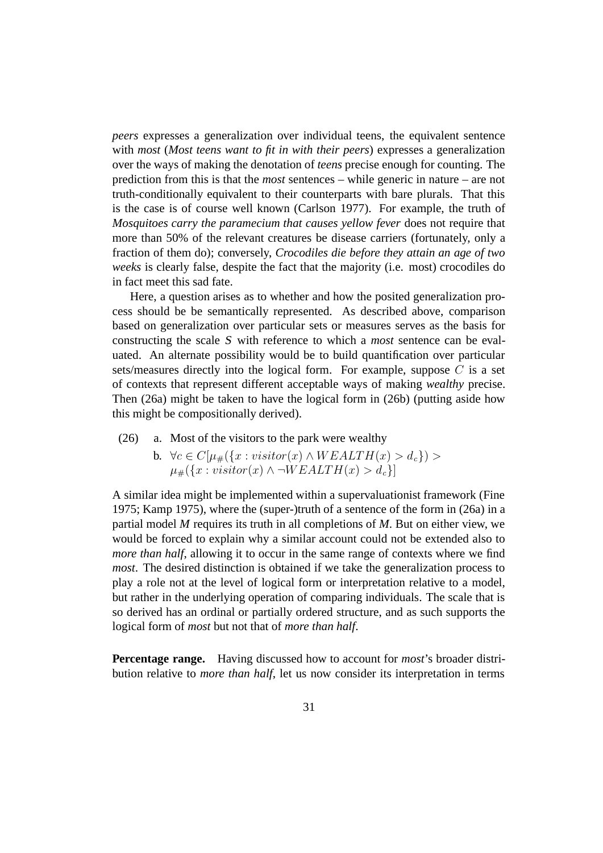*peers* expresses a generalization over individual teens, the equivalent sentence with *most* (*Most teens want to fit in with their peers*) expresses a generalization over the ways of making the denotation of *teens* precise enough for counting. The prediction from this is that the *most* sentences – while generic in nature – are not truth-conditionally equivalent to their counterparts with bare plurals. That this is the case is of course well known (Carlson 1977). For example, the truth of *Mosquitoes carry the paramecium that causes yellow fever* does not require that more than 50% of the relevant creatures be disease carriers (fortunately, only a fraction of them do); conversely, *Crocodiles die before they attain an age of two weeks* is clearly false, despite the fact that the majority (i.e. most) crocodiles do in fact meet this sad fate.

Here, a question arises as to whether and how the posited generalization process should be be semantically represented. As described above, comparison based on generalization over particular sets or measures serves as the basis for constructing the scale <sup>S</sup> with reference to which a *most* sentence can be evaluated. An alternate possibility would be to build quantification over particular sets/measures directly into the logical form. For example, suppose  $C$  is a set of contexts that represent different acceptable ways of making *wealthy* precise. Then (26a) might be taken to have the logical form in (26b) (putting aside how this might be compositionally derived).

- (26) a. Most of the visitors to the park were wealthy
	- b.  $\forall c \in C[\mu_{\#}(\{x : visitor(x) \land WEALTH(x) > d_c\})$  $\mu_{\#}(\lbrace x : visitor(x) \land \neg WEALTH(x) > d_c \rbrace)$

A similar idea might be implemented within a supervaluationist framework (Fine 1975; Kamp 1975), where the (super-)truth of a sentence of the form in (26a) in a partial model *M* requires its truth in all completions of *M*. But on either view, we would be forced to explain why a similar account could not be extended also to *more than half*, allowing it to occur in the same range of contexts where we find *most*. The desired distinction is obtained if we take the generalization process to play a role not at the level of logical form or interpretation relative to a model, but rather in the underlying operation of comparing individuals. The scale that is so derived has an ordinal or partially ordered structure, and as such supports the logical form of *most* but not that of *more than half*.

**Percentage range.** Having discussed how to account for *most*'s broader distribution relative to *more than half*, let us now consider its interpretation in terms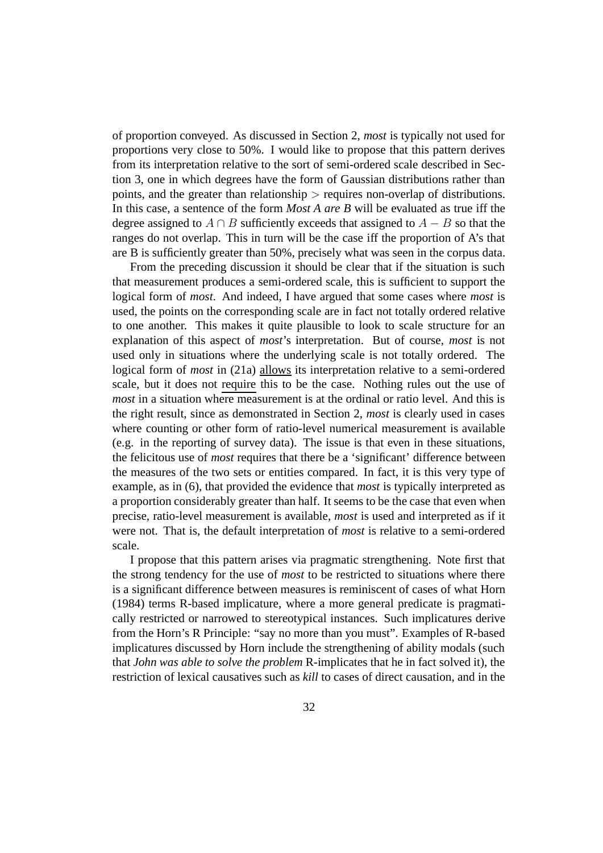of proportion conveyed. As discussed in Section 2, *most* is typically not used for proportions very close to 50%. I would like to propose that this pattern derives from its interpretation relative to the sort of semi-ordered scale described in Section 3, one in which degrees have the form of Gaussian distributions rather than points, and the greater than relationship > requires non-overlap of distributions. In this case, a sentence of the form *Most A are B* will be evaluated as true iff the degree assigned to  $A \cap B$  sufficiently exceeds that assigned to  $A - B$  so that the ranges do not overlap. This in turn will be the case iff the proportion of A's that are B is sufficiently greater than 50%, precisely what was seen in the corpus data.

From the preceding discussion it should be clear that if the situation is such that measurement produces a semi-ordered scale, this is sufficient to support the logical form of *most*. And indeed, I have argued that some cases where *most* is used, the points on the corresponding scale are in fact not totally ordered relative to one another. This makes it quite plausible to look to scale structure for an explanation of this aspect of *most*'s interpretation. But of course, *most* is not used only in situations where the underlying scale is not totally ordered. The logical form of *most* in (21a) allows its interpretation relative to a semi-ordered scale, but it does not require this to be the case. Nothing rules out the use of *most* in a situation where measurement is at the ordinal or ratio level. And this is the right result, since as demonstrated in Section 2, *most* is clearly used in cases where counting or other form of ratio-level numerical measurement is available (e.g. in the reporting of survey data). The issue is that even in these situations, the felicitous use of *most* requires that there be a 'significant' difference between the measures of the two sets or entities compared. In fact, it is this very type of example, as in (6), that provided the evidence that *most* is typically interpreted as a proportion considerably greater than half. It seems to be the case that even when precise, ratio-level measurement is available, *most* is used and interpreted as if it were not. That is, the default interpretation of *most* is relative to a semi-ordered scale.

I propose that this pattern arises via pragmatic strengthening. Note first that the strong tendency for the use of *most* to be restricted to situations where there is a significant difference between measures is reminiscent of cases of what Horn (1984) terms R-based implicature, where a more general predicate is pragmatically restricted or narrowed to stereotypical instances. Such implicatures derive from the Horn's R Principle: "say no more than you must". Examples of R-based implicatures discussed by Horn include the strengthening of ability modals (such that *John was able to solve the problem* R-implicates that he in fact solved it), the restriction of lexical causatives such as *kill* to cases of direct causation, and in the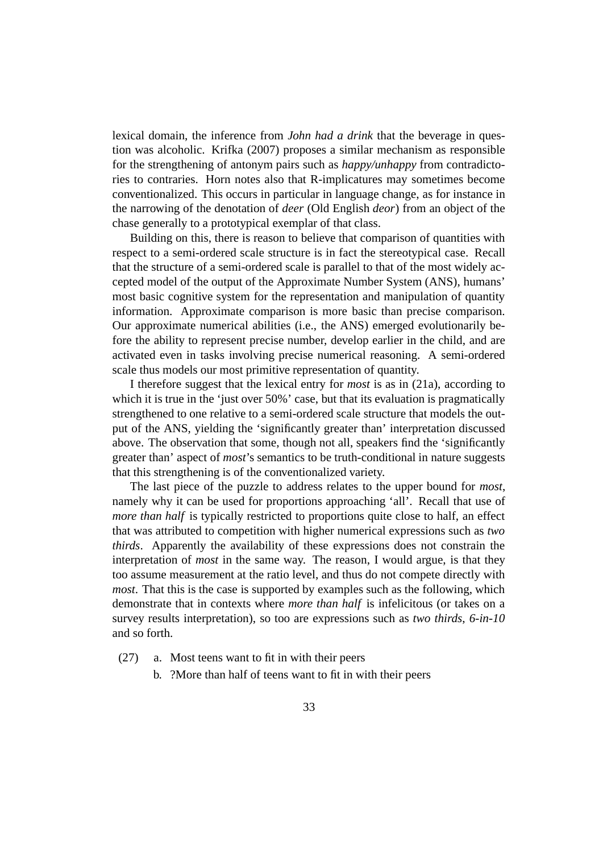lexical domain, the inference from *John had a drink* that the beverage in question was alcoholic. Krifka (2007) proposes a similar mechanism as responsible for the strengthening of antonym pairs such as *happy/unhappy* from contradictories to contraries. Horn notes also that R-implicatures may sometimes become conventionalized. This occurs in particular in language change, as for instance in the narrowing of the denotation of *deer* (Old English *deor*) from an object of the chase generally to a prototypical exemplar of that class.

Building on this, there is reason to believe that comparison of quantities with respect to a semi-ordered scale structure is in fact the stereotypical case. Recall that the structure of a semi-ordered scale is parallel to that of the most widely accepted model of the output of the Approximate Number System (ANS), humans' most basic cognitive system for the representation and manipulation of quantity information. Approximate comparison is more basic than precise comparison. Our approximate numerical abilities (i.e., the ANS) emerged evolutionarily before the ability to represent precise number, develop earlier in the child, and are activated even in tasks involving precise numerical reasoning. A semi-ordered scale thus models our most primitive representation of quantity.

I therefore suggest that the lexical entry for *most* is as in (21a), according to which it is true in the 'just over 50%' case, but that its evaluation is pragmatically strengthened to one relative to a semi-ordered scale structure that models the output of the ANS, yielding the 'significantly greater than' interpretation discussed above. The observation that some, though not all, speakers find the 'significantly greater than' aspect of *most*'s semantics to be truth-conditional in nature suggests that this strengthening is of the conventionalized variety.

The last piece of the puzzle to address relates to the upper bound for *most*, namely why it can be used for proportions approaching 'all'. Recall that use of *more than half* is typically restricted to proportions quite close to half, an effect that was attributed to competition with higher numerical expressions such as *two thirds*. Apparently the availability of these expressions does not constrain the interpretation of *most* in the same way. The reason, I would argue, is that they too assume measurement at the ratio level, and thus do not compete directly with *most*. That this is the case is supported by examples such as the following, which demonstrate that in contexts where *more than half* is infelicitous (or takes on a survey results interpretation), so too are expressions such as *two thirds*, *6-in-10* and so forth.

- (27) a. Most teens want to fit in with their peers
	- b. ?More than half of teens want to fit in with their peers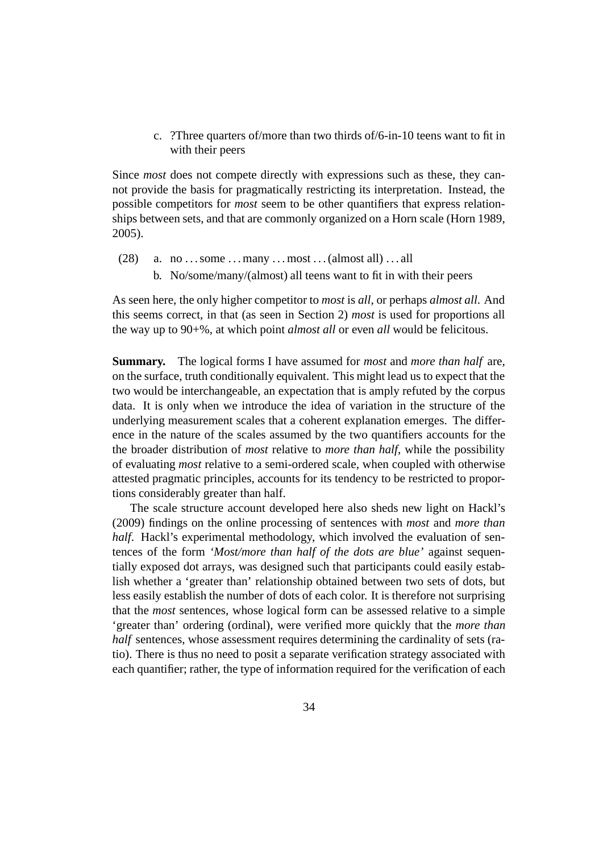c. ?Three quarters of/more than two thirds of/6-in-10 teens want to fit in with their peers

Since *most* does not compete directly with expressions such as these, they cannot provide the basis for pragmatically restricting its interpretation. Instead, the possible competitors for *most* seem to be other quantifiers that express relationships between sets, and that are commonly organized on a Horn scale (Horn 1989, 2005).

- $(28)$  a. no ... some ... many ... most ... (almost all) ... all
	- b. No/some/many/(almost) all teens want to fit in with their peers

As seen here, the only higher competitor to *most* is *all*, or perhaps *almost all*. And this seems correct, in that (as seen in Section 2) *most* is used for proportions all the way up to 90+%, at which point *almost all* or even *all* would be felicitous.

**Summary.** The logical forms I have assumed for *most* and *more than half* are, on the surface, truth conditionally equivalent. This might lead us to expect that the two would be interchangeable, an expectation that is amply refuted by the corpus data. It is only when we introduce the idea of variation in the structure of the underlying measurement scales that a coherent explanation emerges. The difference in the nature of the scales assumed by the two quantifiers accounts for the the broader distribution of *most* relative to *more than half*, while the possibility of evaluating *most* relative to a semi-ordered scale, when coupled with otherwise attested pragmatic principles, accounts for its tendency to be restricted to proportions considerably greater than half.

The scale structure account developed here also sheds new light on Hackl's (2009) findings on the online processing of sentences with *most* and *more than half*. Hackl's experimental methodology, which involved the evaluation of sentences of the form *'Most/more than half of the dots are blue'* against sequentially exposed dot arrays, was designed such that participants could easily establish whether a 'greater than' relationship obtained between two sets of dots, but less easily establish the number of dots of each color. It is therefore not surprising that the *most* sentences, whose logical form can be assessed relative to a simple 'greater than' ordering (ordinal), were verified more quickly that the *more than half* sentences, whose assessment requires determining the cardinality of sets (ratio). There is thus no need to posit a separate verification strategy associated with each quantifier; rather, the type of information required for the verification of each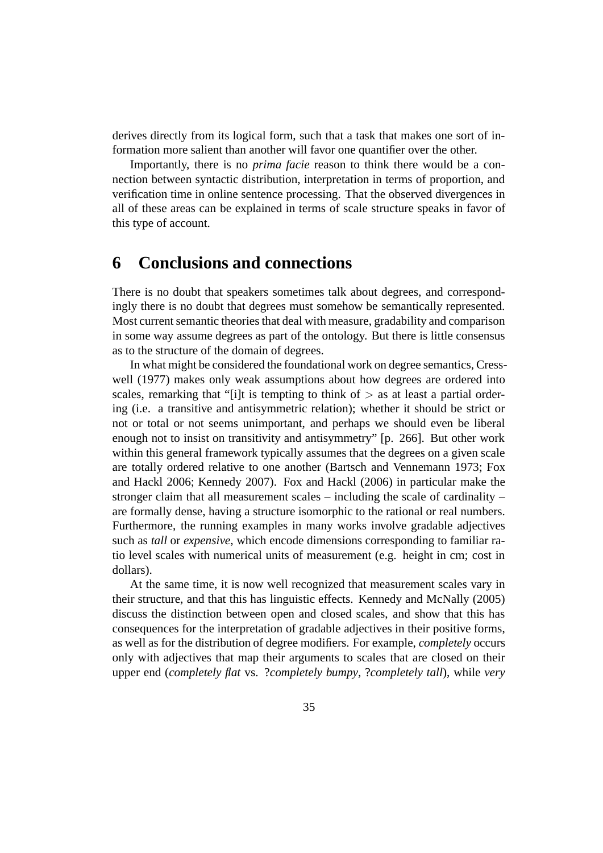derives directly from its logical form, such that a task that makes one sort of information more salient than another will favor one quantifier over the other.

Importantly, there is no *prima facie* reason to think there would be a connection between syntactic distribution, interpretation in terms of proportion, and verification time in online sentence processing. That the observed divergences in all of these areas can be explained in terms of scale structure speaks in favor of this type of account.

# **6 Conclusions and connections**

There is no doubt that speakers sometimes talk about degrees, and correspondingly there is no doubt that degrees must somehow be semantically represented. Most current semantic theories that deal with measure, gradability and comparison in some way assume degrees as part of the ontology. But there is little consensus as to the structure of the domain of degrees.

In what might be considered the foundational work on degree semantics, Cresswell (1977) makes only weak assumptions about how degrees are ordered into scales, remarking that "[i]t is tempting to think of  $\geq$  as at least a partial ordering (i.e. a transitive and antisymmetric relation); whether it should be strict or not or total or not seems unimportant, and perhaps we should even be liberal enough not to insist on transitivity and antisymmetry" [p. 266]. But other work within this general framework typically assumes that the degrees on a given scale are totally ordered relative to one another (Bartsch and Vennemann 1973; Fox and Hackl 2006; Kennedy 2007). Fox and Hackl (2006) in particular make the stronger claim that all measurement scales – including the scale of cardinality – are formally dense, having a structure isomorphic to the rational or real numbers. Furthermore, the running examples in many works involve gradable adjectives such as *tall* or *expensive*, which encode dimensions corresponding to familiar ratio level scales with numerical units of measurement (e.g. height in cm; cost in dollars).

At the same time, it is now well recognized that measurement scales vary in their structure, and that this has linguistic effects. Kennedy and McNally (2005) discuss the distinction between open and closed scales, and show that this has consequences for the interpretation of gradable adjectives in their positive forms, as well as for the distribution of degree modifiers. For example, *completely* occurs only with adjectives that map their arguments to scales that are closed on their upper end (*completely flat* vs. ?*completely bumpy*, ?*completely tall*), while *very*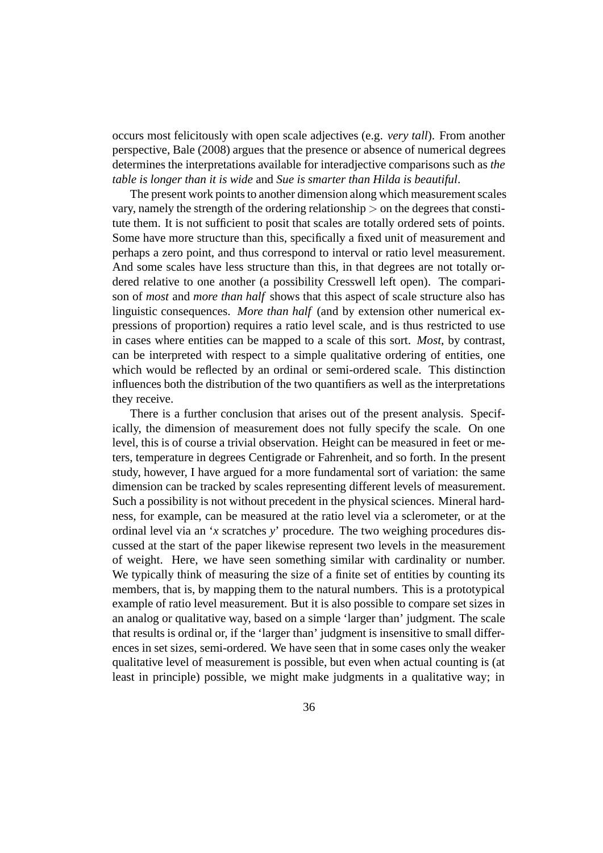occurs most felicitously with open scale adjectives (e.g. *very tall*). From another perspective, Bale (2008) argues that the presence or absence of numerical degrees determines the interpretations available for interadjective comparisons such as *the table is longer than it is wide* and *Sue is smarter than Hilda is beautiful*.

The present work points to another dimension along which measurement scales vary, namely the strength of the ordering relationship > on the degrees that constitute them. It is not sufficient to posit that scales are totally ordered sets of points. Some have more structure than this, specifically a fixed unit of measurement and perhaps a zero point, and thus correspond to interval or ratio level measurement. And some scales have less structure than this, in that degrees are not totally ordered relative to one another (a possibility Cresswell left open). The comparison of *most* and *more than half* shows that this aspect of scale structure also has linguistic consequences. *More than half* (and by extension other numerical expressions of proportion) requires a ratio level scale, and is thus restricted to use in cases where entities can be mapped to a scale of this sort. *Most*, by contrast, can be interpreted with respect to a simple qualitative ordering of entities, one which would be reflected by an ordinal or semi-ordered scale. This distinction influences both the distribution of the two quantifiers as well as the interpretations they receive.

There is a further conclusion that arises out of the present analysis. Specifically, the dimension of measurement does not fully specify the scale. On one level, this is of course a trivial observation. Height can be measured in feet or meters, temperature in degrees Centigrade or Fahrenheit, and so forth. In the present study, however, I have argued for a more fundamental sort of variation: the same dimension can be tracked by scales representing different levels of measurement. Such a possibility is not without precedent in the physical sciences. Mineral hardness, for example, can be measured at the ratio level via a sclerometer, or at the ordinal level via an '*x* scratches *y*' procedure. The two weighing procedures discussed at the start of the paper likewise represent two levels in the measurement of weight. Here, we have seen something similar with cardinality or number. We typically think of measuring the size of a finite set of entities by counting its members, that is, by mapping them to the natural numbers. This is a prototypical example of ratio level measurement. But it is also possible to compare set sizes in an analog or qualitative way, based on a simple 'larger than' judgment. The scale that results is ordinal or, if the 'larger than' judgment is insensitive to small differences in set sizes, semi-ordered. We have seen that in some cases only the weaker qualitative level of measurement is possible, but even when actual counting is (at least in principle) possible, we might make judgments in a qualitative way; in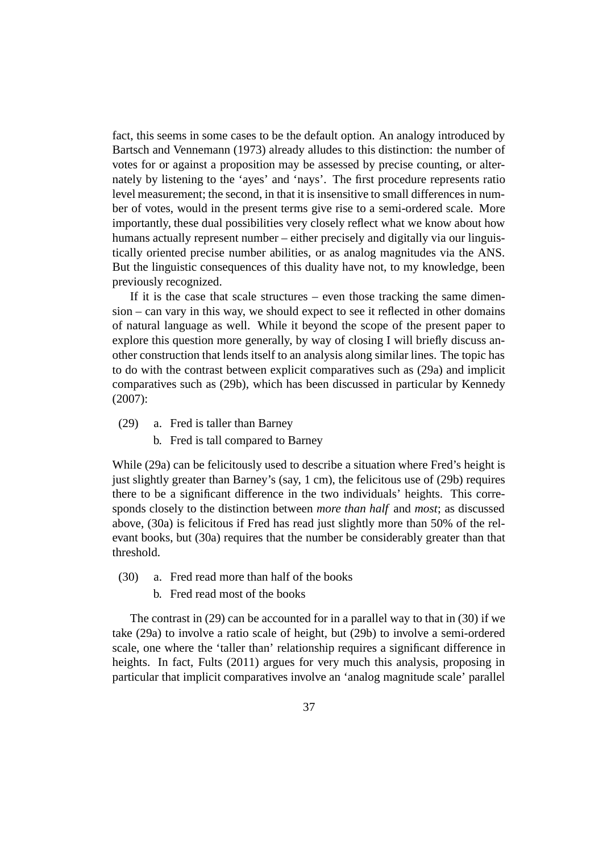fact, this seems in some cases to be the default option. An analogy introduced by Bartsch and Vennemann (1973) already alludes to this distinction: the number of votes for or against a proposition may be assessed by precise counting, or alternately by listening to the 'ayes' and 'nays'. The first procedure represents ratio level measurement; the second, in that it is insensitive to small differences in number of votes, would in the present terms give rise to a semi-ordered scale. More importantly, these dual possibilities very closely reflect what we know about how humans actually represent number – either precisely and digitally via our linguistically oriented precise number abilities, or as analog magnitudes via the ANS. But the linguistic consequences of this duality have not, to my knowledge, been previously recognized.

If it is the case that scale structures – even those tracking the same dimension – can vary in this way, we should expect to see it reflected in other domains of natural language as well. While it beyond the scope of the present paper to explore this question more generally, by way of closing I will briefly discuss another construction that lends itself to an analysis along similar lines. The topic has to do with the contrast between explicit comparatives such as (29a) and implicit comparatives such as (29b), which has been discussed in particular by Kennedy (2007):

- (29) a. Fred is taller than Barney
	- b. Fred is tall compared to Barney

While (29a) can be felicitously used to describe a situation where Fred's height is just slightly greater than Barney's (say, 1 cm), the felicitous use of (29b) requires there to be a significant difference in the two individuals' heights. This corresponds closely to the distinction between *more than half* and *most*; as discussed above, (30a) is felicitous if Fred has read just slightly more than 50% of the relevant books, but (30a) requires that the number be considerably greater than that threshold.

- (30) a. Fred read more than half of the books
	- b. Fred read most of the books

The contrast in (29) can be accounted for in a parallel way to that in (30) if we take (29a) to involve a ratio scale of height, but (29b) to involve a semi-ordered scale, one where the 'taller than' relationship requires a significant difference in heights. In fact, Fults (2011) argues for very much this analysis, proposing in particular that implicit comparatives involve an 'analog magnitude scale' parallel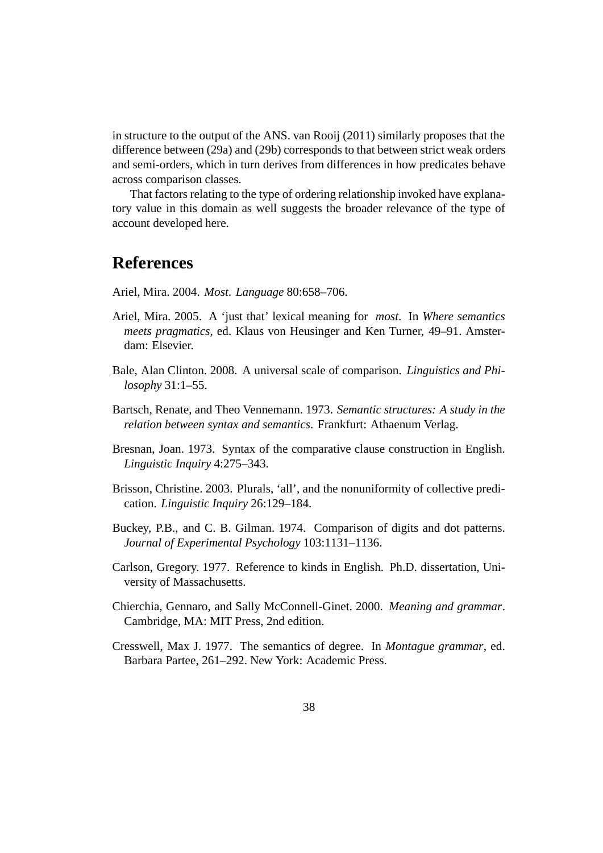in structure to the output of the ANS. van Rooij (2011) similarly proposes that the difference between (29a) and (29b) corresponds to that between strict weak orders and semi-orders, which in turn derives from differences in how predicates behave across comparison classes.

That factors relating to the type of ordering relationship invoked have explanatory value in this domain as well suggests the broader relevance of the type of account developed here.

# **References**

Ariel, Mira. 2004. *Most*. *Language* 80:658–706.

- Ariel, Mira. 2005. A 'just that' lexical meaning for *most*. In *Where semantics meets pragmatics*, ed. Klaus von Heusinger and Ken Turner, 49–91. Amsterdam: Elsevier.
- Bale, Alan Clinton. 2008. A universal scale of comparison. *Linguistics and Philosophy* 31:1–55.
- Bartsch, Renate, and Theo Vennemann. 1973. *Semantic structures: A study in the relation between syntax and semantics*. Frankfurt: Athaenum Verlag.
- Bresnan, Joan. 1973. Syntax of the comparative clause construction in English. *Linguistic Inquiry* 4:275–343.
- Brisson, Christine. 2003. Plurals, 'all', and the nonuniformity of collective predication. *Linguistic Inquiry* 26:129–184.
- Buckey, P.B., and C. B. Gilman. 1974. Comparison of digits and dot patterns. *Journal of Experimental Psychology* 103:1131–1136.
- Carlson, Gregory. 1977. Reference to kinds in English. Ph.D. dissertation, University of Massachusetts.
- Chierchia, Gennaro, and Sally McConnell-Ginet. 2000. *Meaning and grammar*. Cambridge, MA: MIT Press, 2nd edition.
- Cresswell, Max J. 1977. The semantics of degree. In *Montague grammar*, ed. Barbara Partee, 261–292. New York: Academic Press.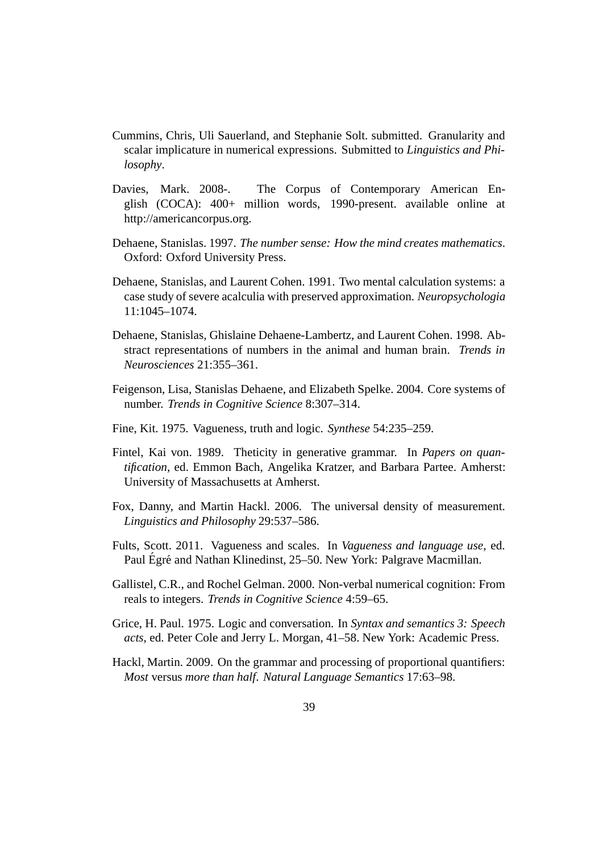- Cummins, Chris, Uli Sauerland, and Stephanie Solt. submitted. Granularity and scalar implicature in numerical expressions. Submitted to *Linguistics and Philosophy*.
- Davies, Mark. 2008-. The Corpus of Contemporary American English (COCA): 400+ million words, 1990-present. available online at http://americancorpus.org.
- Dehaene, Stanislas. 1997. *The number sense: How the mind creates mathematics*. Oxford: Oxford University Press.
- Dehaene, Stanislas, and Laurent Cohen. 1991. Two mental calculation systems: a case study of severe acalculia with preserved approximation. *Neuropsychologia* 11:1045–1074.
- Dehaene, Stanislas, Ghislaine Dehaene-Lambertz, and Laurent Cohen. 1998. Abstract representations of numbers in the animal and human brain. *Trends in Neurosciences* 21:355–361.
- Feigenson, Lisa, Stanislas Dehaene, and Elizabeth Spelke. 2004. Core systems of number. *Trends in Cognitive Science* 8:307–314.
- Fine, Kit. 1975. Vagueness, truth and logic. *Synthese* 54:235–259.
- Fintel, Kai von. 1989. Theticity in generative grammar. In *Papers on quantification*, ed. Emmon Bach, Angelika Kratzer, and Barbara Partee. Amherst: University of Massachusetts at Amherst.
- Fox, Danny, and Martin Hackl. 2006. The universal density of measurement. *Linguistics and Philosophy* 29:537–586.
- Fults, Scott. 2011. Vagueness and scales. In *Vagueness and language use*, ed. Paul Égré and Nathan Klinedinst, 25–50. New York: Palgrave Macmillan.
- Gallistel, C.R., and Rochel Gelman. 2000. Non-verbal numerical cognition: From reals to integers. *Trends in Cognitive Science* 4:59–65.
- Grice, H. Paul. 1975. Logic and conversation. In *Syntax and semantics 3: Speech acts*, ed. Peter Cole and Jerry L. Morgan, 41–58. New York: Academic Press.
- Hackl, Martin. 2009. On the grammar and processing of proportional quantifiers: *Most* versus *more than half*. *Natural Language Semantics* 17:63–98.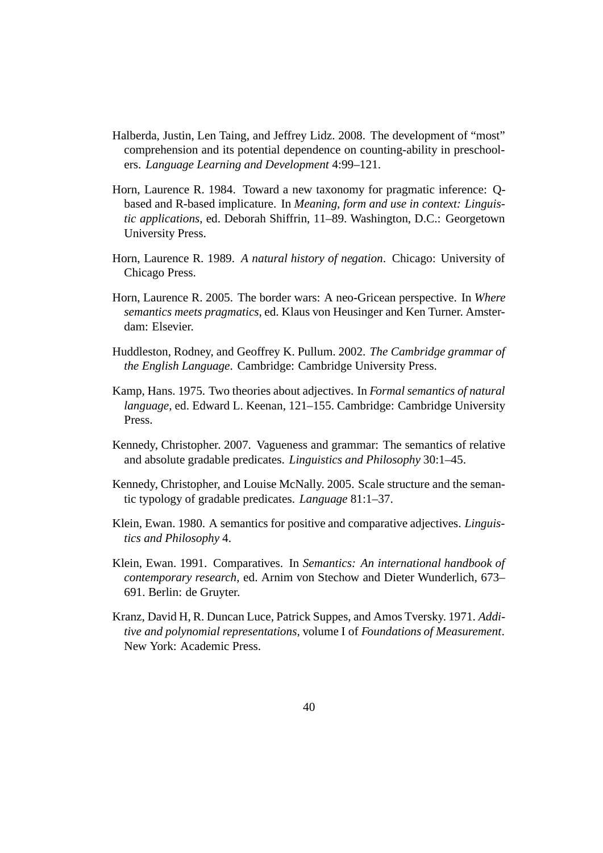- Halberda, Justin, Len Taing, and Jeffrey Lidz. 2008. The development of "most" comprehension and its potential dependence on counting-ability in preschoolers. *Language Learning and Development* 4:99–121.
- Horn, Laurence R. 1984. Toward a new taxonomy for pragmatic inference: Qbased and R-based implicature. In *Meaning, form and use in context: Linguistic applications*, ed. Deborah Shiffrin, 11–89. Washington, D.C.: Georgetown University Press.
- Horn, Laurence R. 1989. *A natural history of negation*. Chicago: University of Chicago Press.
- Horn, Laurence R. 2005. The border wars: A neo-Gricean perspective. In *Where semantics meets pragmatics*, ed. Klaus von Heusinger and Ken Turner. Amsterdam: Elsevier.
- Huddleston, Rodney, and Geoffrey K. Pullum. 2002. *The Cambridge grammar of the English Language*. Cambridge: Cambridge University Press.
- Kamp, Hans. 1975. Two theories about adjectives. In *Formal semantics of natural language*, ed. Edward L. Keenan, 121–155. Cambridge: Cambridge University Press.
- Kennedy, Christopher. 2007. Vagueness and grammar: The semantics of relative and absolute gradable predicates. *Linguistics and Philosophy* 30:1–45.
- Kennedy, Christopher, and Louise McNally. 2005. Scale structure and the semantic typology of gradable predicates. *Language* 81:1–37.
- Klein, Ewan. 1980. A semantics for positive and comparative adjectives. *Linguistics and Philosophy* 4.
- Klein, Ewan. 1991. Comparatives. In *Semantics: An international handbook of contemporary research*, ed. Arnim von Stechow and Dieter Wunderlich, 673– 691. Berlin: de Gruyter.
- Kranz, David H, R. Duncan Luce, Patrick Suppes, and Amos Tversky. 1971. *Additive and polynomial representations*, volume I of *Foundations of Measurement*. New York: Academic Press.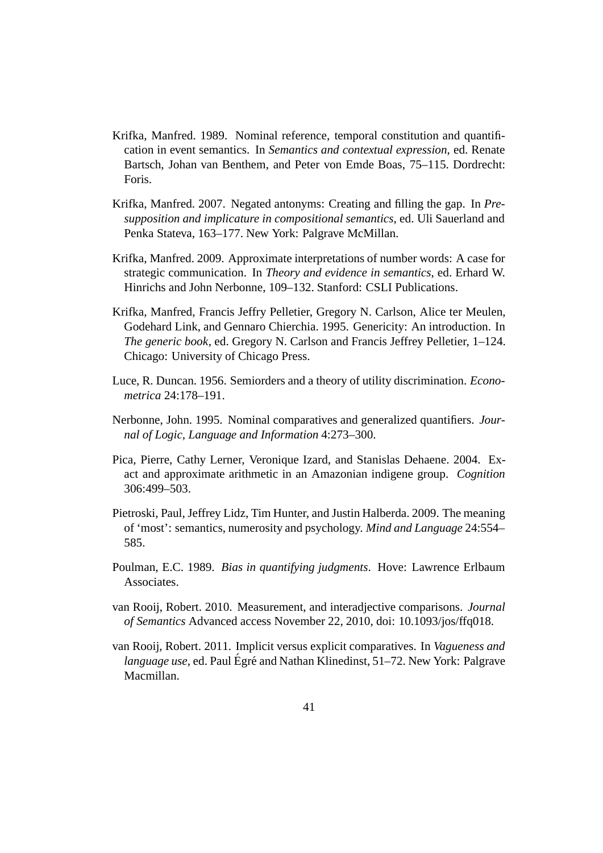- Krifka, Manfred. 1989. Nominal reference, temporal constitution and quantification in event semantics. In *Semantics and contextual expression*, ed. Renate Bartsch, Johan van Benthem, and Peter von Emde Boas, 75–115. Dordrecht: Foris.
- Krifka, Manfred. 2007. Negated antonyms: Creating and filling the gap. In *Presupposition and implicature in compositional semantics*, ed. Uli Sauerland and Penka Stateva, 163–177. New York: Palgrave McMillan.
- Krifka, Manfred. 2009. Approximate interpretations of number words: A case for strategic communication. In *Theory and evidence in semantics*, ed. Erhard W. Hinrichs and John Nerbonne, 109–132. Stanford: CSLI Publications.
- Krifka, Manfred, Francis Jeffry Pelletier, Gregory N. Carlson, Alice ter Meulen, Godehard Link, and Gennaro Chierchia. 1995. Genericity: An introduction. In *The generic book*, ed. Gregory N. Carlson and Francis Jeffrey Pelletier, 1–124. Chicago: University of Chicago Press.
- Luce, R. Duncan. 1956. Semiorders and a theory of utility discrimination. *Econometrica* 24:178–191.
- Nerbonne, John. 1995. Nominal comparatives and generalized quantifiers. *Journal of Logic, Language and Information* 4:273–300.
- Pica, Pierre, Cathy Lerner, Veronique Izard, and Stanislas Dehaene. 2004. Exact and approximate arithmetic in an Amazonian indigene group. *Cognition* 306:499–503.
- Pietroski, Paul, Jeffrey Lidz, Tim Hunter, and Justin Halberda. 2009. The meaning of 'most': semantics, numerosity and psychology. *Mind and Language* 24:554– 585.
- Poulman, E.C. 1989. *Bias in quantifying judgments*. Hove: Lawrence Erlbaum Associates.
- van Rooij, Robert. 2010. Measurement, and interadjective comparisons. *Journal of Semantics* Advanced access November 22, 2010, doi: 10.1093/jos/ffq018.
- van Rooij, Robert. 2011. Implicit versus explicit comparatives. In *Vagueness and language use*, ed. Paul Égré and Nathan Klinedinst, 51–72. New York: Palgrave Macmillan.